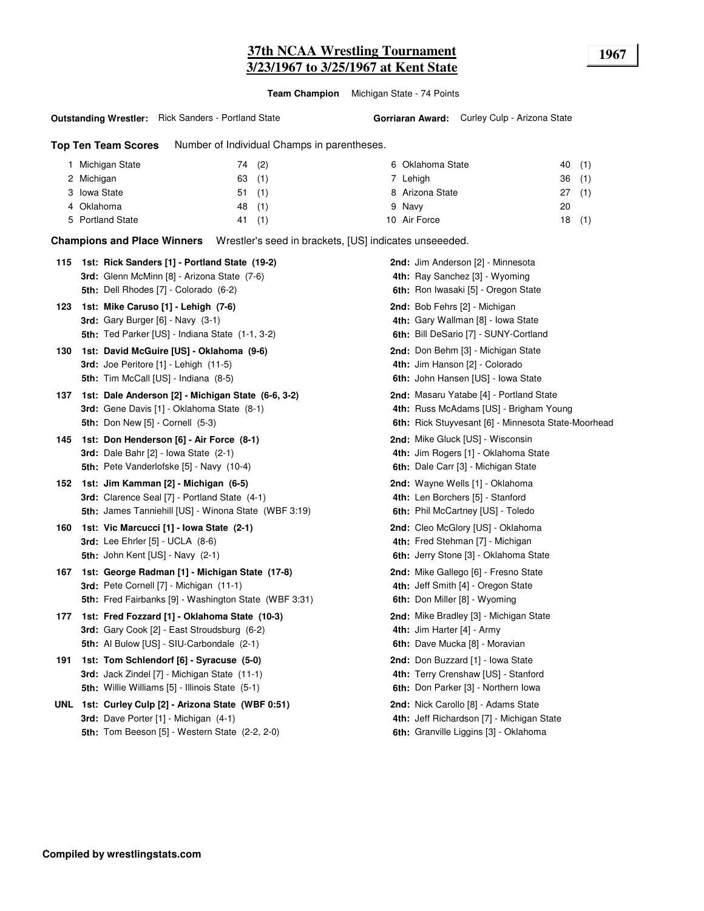# **37th NCAA Wrestling Tournament 1967 3/23/1967 to 3/25/1967 at Kent State**

**Team Champion** Michigan State - 74 Points

#### **Outstanding Wrestler:** Rick Sanders - Portland State

**Top Ten Team Scores** Number of Individual Champs in parentheses.

| Michigan State   | (2)<br>74 | 6 Oklahoma State | (1)<br>40 |
|------------------|-----------|------------------|-----------|
| 2 Michigan       | (1)<br>63 | 7 Lehiah         | 36(1)     |
| 3 Iowa State     | (1)<br>51 | 8 Arizona State  | 27(1)     |
| 4 Oklahoma       | 48(1)     | 9 Navy           | 20        |
| 5 Portland State | (1)<br>41 | 10 Air Force     | (1)<br>18 |

**Champions and Place Winners** Wrestler's seed in brackets, [US] indicates unseeeded.

|     | 115 1st: Rick Sanders [1] - Portland State (19-2)      | 2nd: Jim Anderson [2] - Minnesota                   |
|-----|--------------------------------------------------------|-----------------------------------------------------|
|     | 3rd: Glenn McMinn [8] - Arizona State (7-6)            | 4th: Ray Sanchez [3] - Wyoming                      |
|     | 5th: Dell Rhodes [7] - Colorado (6-2)                  | 6th: Ron Iwasaki [5] - Oregon State                 |
| 123 | 1st: Mike Caruso [1] - Lehigh (7-6)                    | 2nd: Bob Fehrs [2] - Michigan                       |
|     | 3rd: Gary Burger $[6]$ - Navy $(3-1)$                  | 4th: Gary Wallman [8] - Iowa State                  |
|     | 5th: Ted Parker [US] - Indiana State (1-1, 3-2)        | 6th: Bill DeSario [7] - SUNY-Cortland               |
| 130 | 1st: David McGuire [US] - Oklahoma (9-6)               | 2nd: Don Behm [3] - Michigan State                  |
|     | 3rd: Joe Peritore [1] - Lehigh (11-5)                  | 4th: Jim Hanson [2] - Colorado                      |
|     | 5th: Tim McCall [US] - Indiana (8-5)                   | 6th: John Hansen [US] - Iowa State                  |
| 137 | 1st: Dale Anderson [2] - Michigan State (6-6, 3-2)     | 2nd: Masaru Yatabe [4] - Portland State             |
|     | 3rd: Gene Davis [1] - Oklahoma State (8-1)             | 4th: Russ McAdams [US] - Brigham Young              |
|     | <b>5th: Don New [5] - Cornell (5-3)</b>                | 6th: Rick Stuyvesant [6] - Minnesota State-Moorhead |
| 145 | 1st: Don Henderson [6] - Air Force (8-1)               | 2nd: Mike Gluck [US] - Wisconsin                    |
|     | 3rd: Dale Bahr [2] - Iowa State (2-1)                  | 4th: Jim Rogers [1] - Oklahoma State                |
|     | 5th: Pete Vanderlofske [5] - Navy (10-4)               | 6th: Dale Carr [3] - Michigan State                 |
| 152 | 1st: Jim Kamman [2] - Michigan (6-5)                   | 2nd: Wayne Wells [1] - Oklahoma                     |
|     | 3rd: Clarence Seal [7] - Portland State (4-1)          | 4th: Len Borchers [5] - Stanford                    |
|     | 5th: James Tanniehill [US] - Winona State (WBF 3:19)   | 6th: Phil McCartney [US] - Toledo                   |
| 160 | 1st: Vic Marcucci [1] - Iowa State (2-1)               | <b>2nd:</b> Cleo McGlory [US] - Oklahoma            |
|     | 3rd: Lee Ehrler [5] - UCLA (8-6)                       | 4th: Fred Stehman [7] - Michigan                    |
|     | 5th: John Kent [US] - Navy (2-1)                       | 6th: Jerry Stone [3] - Oklahoma State               |
| 167 | 1st: George Radman [1] - Michigan State (17-8)         | 2nd: Mike Gallego [6] - Fresno State                |
|     | 3rd: Pete Cornell [7] - Michigan (11-1)                | 4th: Jeff Smith [4] - Oregon State                  |
|     | 5th: Fred Fairbanks [9] - Washington State (WBF 3:31)  | 6th: Don Miller [8] - Wyoming                       |
| 177 | 1st: Fred Fozzard [1] - Oklahoma State (10-3)          | 2nd: Mike Bradley [3] - Michigan State              |
|     | 3rd: Gary Cook [2] - East Stroudsburg (6-2)            | 4th: Jim Harter [4] - Army                          |
|     | <b>5th:</b> Al Bulow [US] - SIU-Carbondale (2-1)       | 6th: Dave Mucka [8] - Moravian                      |
| 191 | 1st: Tom Schlendorf [6] - Syracuse (5-0)               | 2nd: Don Buzzard [1] - Iowa State                   |
|     | 3rd: Jack Zindel [7] - Michigan State (11-1)           | 4th: Terry Crenshaw [US] - Stanford                 |
|     | <b>5th:</b> Willie Williams [5] - Illinois State (5-1) | 6th: Don Parker [3] - Northern Iowa                 |
|     | UNL 1st: Curley Culp [2] - Arizona State (WBF 0:51)    | 2nd: Nick Carollo [8] - Adams State                 |
|     | 3rd: Dave Porter [1] - Michigan (4-1)                  | 4th: Jeff Richardson [7] - Michigan State           |
|     | 5th: Tom Beeson [5] - Western State (2-2, 2-0)         | 6th: Granville Liggins [3] - Oklahoma               |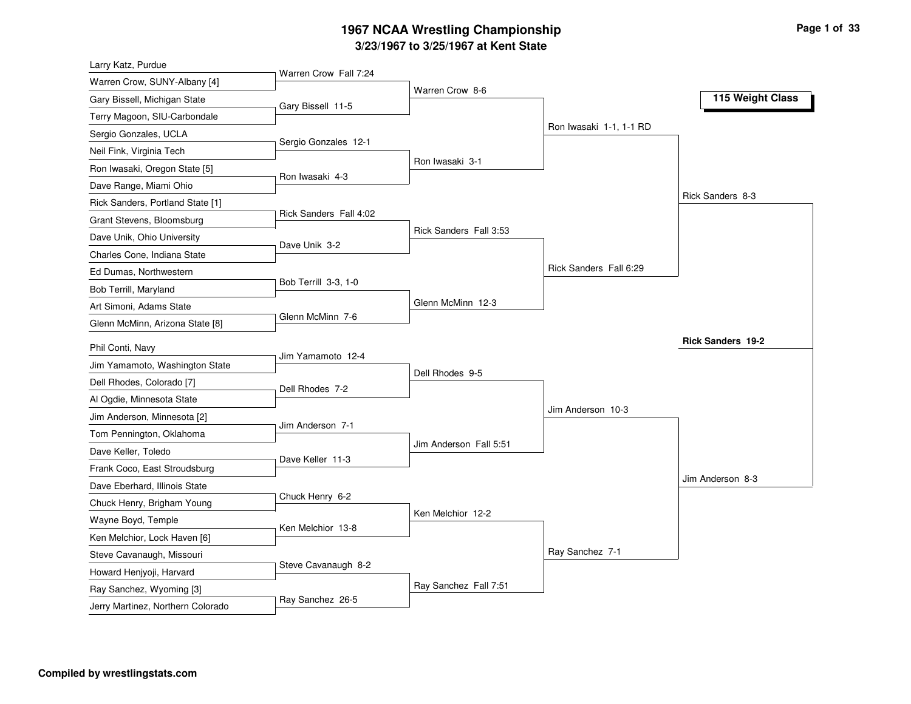#### **3/23/1967 to 3/25/1967 at Kent State 1967 NCAA Wrestling Championship Page <sup>1</sup> of <sup>33</sup>**

| Larry Katz, Purdue                | Warren Crow Fall 7:24  |                        |                         |                          |
|-----------------------------------|------------------------|------------------------|-------------------------|--------------------------|
| Warren Crow, SUNY-Albany [4]      |                        | Warren Crow 8-6        |                         |                          |
| Gary Bissell, Michigan State      | Gary Bissell 11-5      |                        |                         | 115 Weight Class         |
| Terry Magoon, SIU-Carbondale      |                        |                        |                         |                          |
| Sergio Gonzales, UCLA             |                        |                        | Ron Iwasaki 1-1, 1-1 RD |                          |
| Neil Fink, Virginia Tech          | Sergio Gonzales 12-1   |                        |                         |                          |
| Ron Iwasaki, Oregon State [5]     | Ron Iwasaki 4-3        | Ron Iwasaki 3-1        |                         |                          |
| Dave Range, Miami Ohio            |                        |                        |                         |                          |
| Rick Sanders, Portland State [1]  |                        |                        |                         | Rick Sanders 8-3         |
| Grant Stevens, Bloomsburg         | Rick Sanders Fall 4:02 |                        |                         |                          |
| Dave Unik, Ohio University        | Dave Unik 3-2          | Rick Sanders Fall 3:53 |                         |                          |
| Charles Cone, Indiana State       |                        |                        |                         |                          |
| Ed Dumas, Northwestern            |                        |                        | Rick Sanders Fall 6:29  |                          |
| Bob Terrill, Maryland             | Bob Terrill 3-3, 1-0   |                        |                         |                          |
| Art Simoni, Adams State           |                        | Glenn McMinn 12-3      |                         |                          |
| Glenn McMinn, Arizona State [8]   | Glenn McMinn 7-6       |                        |                         |                          |
| Phil Conti, Navy                  |                        |                        |                         | <b>Rick Sanders 19-2</b> |
| Jim Yamamoto, Washington State    | Jim Yamamoto 12-4      |                        |                         |                          |
| Dell Rhodes, Colorado [7]         |                        | Dell Rhodes 9-5        |                         |                          |
| Al Ogdie, Minnesota State         | Dell Rhodes 7-2        |                        |                         |                          |
| Jim Anderson, Minnesota [2]       |                        |                        | Jim Anderson 10-3       |                          |
| Tom Pennington, Oklahoma          | Jim Anderson 7-1       |                        |                         |                          |
| Dave Keller, Toledo               |                        | Jim Anderson Fall 5:51 |                         |                          |
| Frank Coco, East Stroudsburg      | Dave Keller 11-3       |                        |                         |                          |
| Dave Eberhard, Illinois State     |                        |                        |                         | Jim Anderson 8-3         |
| Chuck Henry, Brigham Young        | Chuck Henry 6-2        |                        |                         |                          |
| Wayne Boyd, Temple                |                        | Ken Melchior 12-2      |                         |                          |
|                                   | Ken Melchior 13-8      |                        |                         |                          |
| Ken Melchior, Lock Haven [6]      |                        |                        | Ray Sanchez 7-1         |                          |
| Steve Cavanaugh, Missouri         | Steve Cavanaugh 8-2    |                        |                         |                          |
| Howard Henjyoji, Harvard          |                        | Ray Sanchez Fall 7:51  |                         |                          |
| Ray Sanchez, Wyoming [3]          | Ray Sanchez 26-5       |                        |                         |                          |
| Jerry Martinez, Northern Colorado |                        |                        |                         |                          |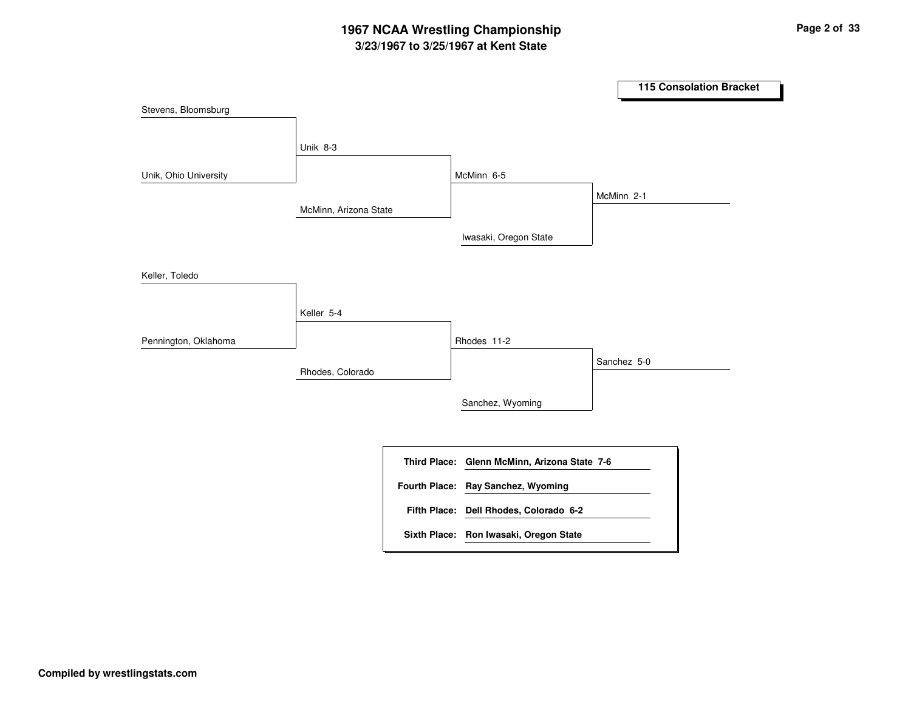## **3/23/1967 to 3/25/1967 at Kent State 1967 NCAA Wrestling Championship Page <sup>2</sup> of <sup>33</sup>**

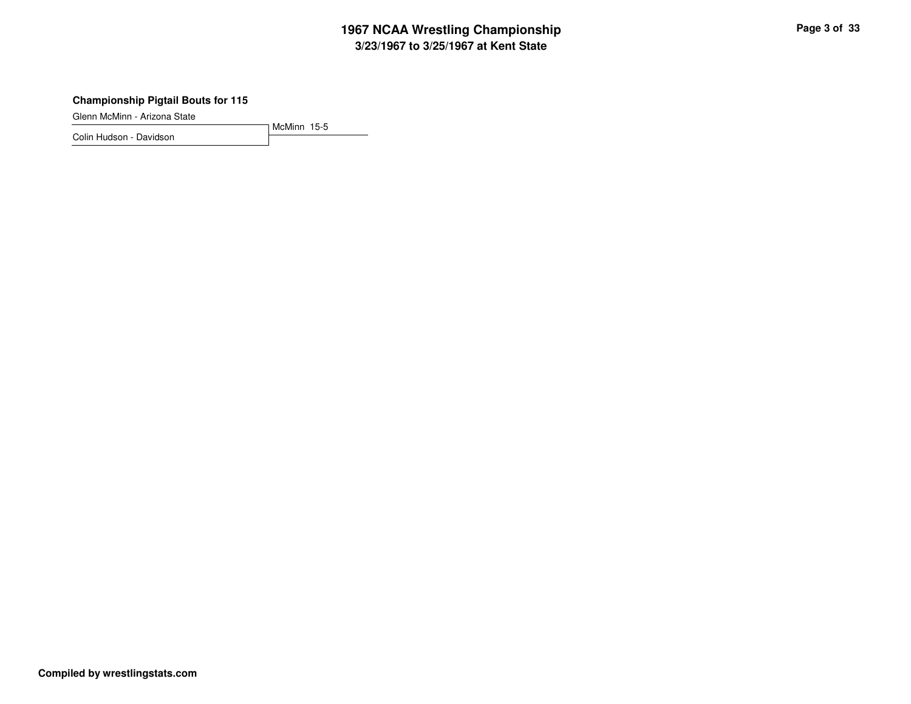## **3/23/1967 to 3/25/1967 at Kent State 1967 NCAA Wrestling Championship Page <sup>3</sup> of <sup>33</sup>**

#### **Championship Pigtail Bouts for 115**

Glenn McMinn - Arizona State

Colin Hudson - Davidson

McMinn 15-5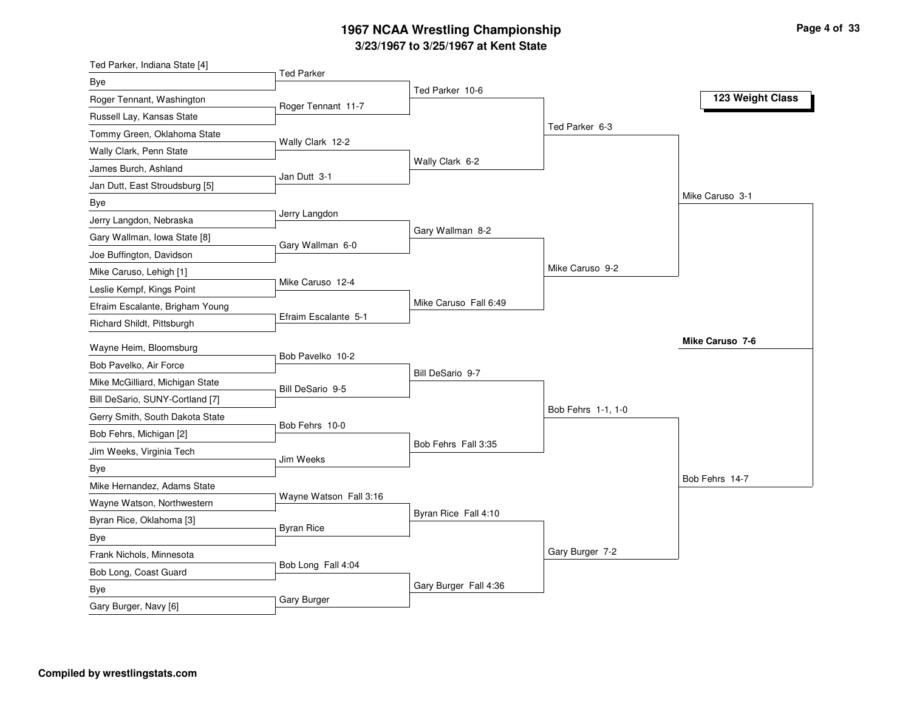#### **3/23/1967 to 3/25/1967 at Kent State 1967 NCAA Wrestling Championship Page <sup>4</sup> of <sup>33</sup>**

| Ted Parker, Indiana State [4]                         | <b>Ted Parker</b>      |                       |                    |                  |
|-------------------------------------------------------|------------------------|-----------------------|--------------------|------------------|
| Bye                                                   |                        | Ted Parker 10-6       |                    |                  |
| Roger Tennant, Washington                             | Roger Tennant 11-7     |                       |                    | 123 Weight Class |
| Russell Lay, Kansas State                             |                        |                       |                    |                  |
| Tommy Green, Oklahoma State                           | Wally Clark 12-2       |                       | Ted Parker 6-3     |                  |
| Wally Clark, Penn State                               |                        |                       |                    |                  |
| James Burch, Ashland                                  | Jan Dutt 3-1           | Wally Clark 6-2       |                    |                  |
| Jan Dutt, East Stroudsburg [5]                        |                        |                       |                    |                  |
| Bye                                                   |                        |                       |                    | Mike Caruso 3-1  |
| Jerry Langdon, Nebraska                               | Jerry Langdon          |                       |                    |                  |
| Gary Wallman, Iowa State [8]                          | Gary Wallman 6-0       | Gary Wallman 8-2      |                    |                  |
| Joe Buffington, Davidson                              |                        |                       |                    |                  |
| Mike Caruso, Lehigh [1]                               |                        |                       | Mike Caruso 9-2    |                  |
| Leslie Kempf, Kings Point                             | Mike Caruso 12-4       |                       |                    |                  |
| Efraim Escalante, Brigham Young                       |                        | Mike Caruso Fall 6:49 |                    |                  |
| Richard Shildt, Pittsburgh                            | Efraim Escalante 5-1   |                       |                    |                  |
| Wayne Heim, Bloomsburg                                |                        |                       |                    | Mike Caruso 7-6  |
| Bob Pavelko, Air Force                                | Bob Pavelko 10-2       |                       |                    |                  |
| Mike McGilliard, Michigan State                       |                        | Bill DeSario 9-7      |                    |                  |
| Bill DeSario, SUNY-Cortland [7]                       | Bill DeSario 9-5       |                       |                    |                  |
| Gerry Smith, South Dakota State                       |                        |                       | Bob Fehrs 1-1, 1-0 |                  |
| Bob Fehrs, Michigan [2]                               | Bob Fehrs 10-0         |                       |                    |                  |
| Jim Weeks, Virginia Tech                              |                        | Bob Fehrs Fall 3:35   |                    |                  |
| <b>Bye</b>                                            | Jim Weeks              |                       |                    |                  |
| Mike Hernandez, Adams State                           |                        |                       |                    | Bob Fehrs 14-7   |
| Wayne Watson, Northwestern                            | Wayne Watson Fall 3:16 |                       |                    |                  |
| Byran Rice, Oklahoma [3]                              |                        | Byran Rice Fall 4:10  |                    |                  |
| Bye                                                   | <b>Byran Rice</b>      |                       |                    |                  |
| Frank Nichols, Minnesota                              |                        |                       | Gary Burger 7-2    |                  |
|                                                       | Bob Long Fall 4:04     |                       |                    |                  |
|                                                       |                        | Gary Burger Fall 4:36 |                    |                  |
|                                                       | Gary Burger            |                       |                    |                  |
| Bob Long, Coast Guard<br>Bye<br>Gary Burger, Navy [6] |                        |                       |                    |                  |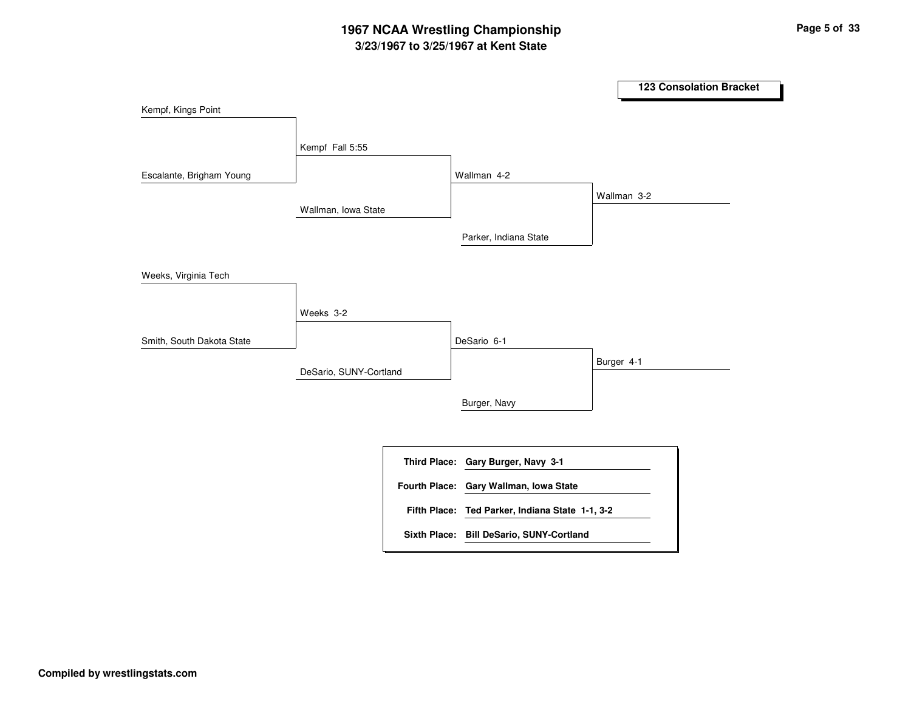## **3/23/1967 to 3/25/1967 at Kent State 1967 NCAA Wrestling Championship Page <sup>5</sup> of <sup>33</sup>**

|                           |                        |                                                                              | <b>123 Consolation Bracket</b> |
|---------------------------|------------------------|------------------------------------------------------------------------------|--------------------------------|
| Kempf, Kings Point        |                        |                                                                              |                                |
| Escalante, Brigham Young  | Kempf Fall 5:55        | Wallman 4-2                                                                  |                                |
|                           | Wallman, Iowa State    | Parker, Indiana State                                                        | Wallman 3-2                    |
| Weeks, Virginia Tech      |                        |                                                                              |                                |
| Smith, South Dakota State | Weeks 3-2              | DeSario 6-1                                                                  |                                |
|                           | DeSario, SUNY-Cortland |                                                                              | Burger 4-1                     |
|                           |                        | Burger, Navy                                                                 |                                |
|                           |                        |                                                                              |                                |
|                           |                        | Third Place: Gary Burger, Navy 3-1<br>Fourth Place: Gary Wallman, Iowa State |                                |
|                           |                        | Fifth Place: Ted Parker, Indiana State 1-1, 3-2                              |                                |
|                           |                        | Sixth Place: Bill DeSario, SUNY-Cortland                                     |                                |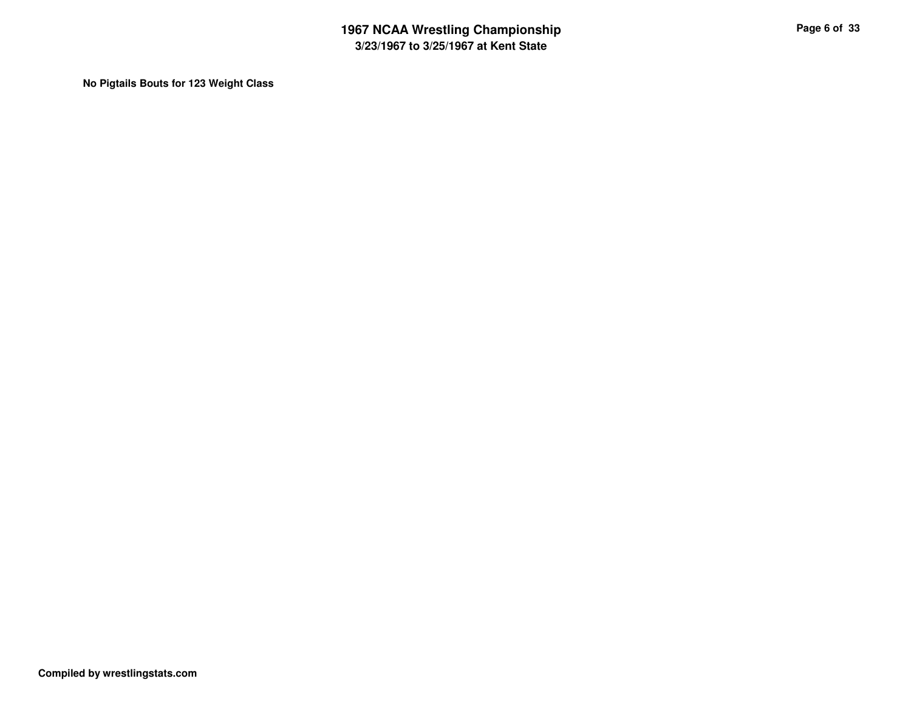**No Pigtails Bouts for 123 Weight Class**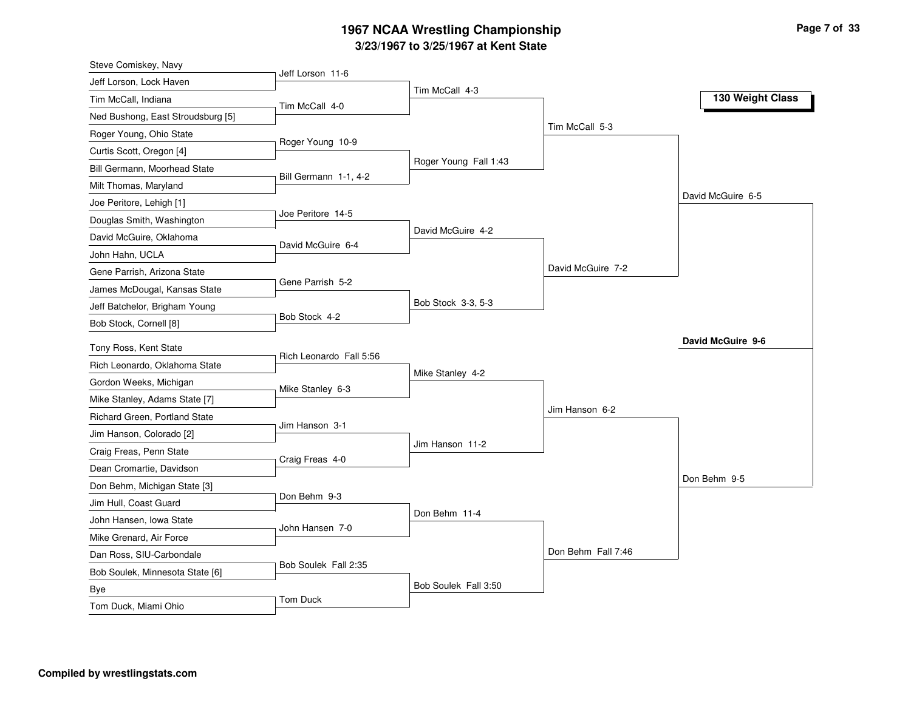### **3/23/1967 to 3/25/1967 at Kent State 1967 NCAA Wrestling Championship Page <sup>7</sup> of <sup>33</sup>**

| Steve Comiskey, Navy              |                         |                       |                    |                   |
|-----------------------------------|-------------------------|-----------------------|--------------------|-------------------|
| Jeff Lorson, Lock Haven           | Jeff Lorson 11-6        |                       |                    |                   |
| Tim McCall, Indiana               | Tim McCall 4-0          | Tim McCall 4-3        |                    | 130 Weight Class  |
| Ned Bushong, East Stroudsburg [5] |                         |                       |                    |                   |
| Roger Young, Ohio State           |                         |                       | Tim McCall 5-3     |                   |
| Curtis Scott, Oregon [4]          | Roger Young 10-9        |                       |                    |                   |
| Bill Germann, Moorhead State      |                         | Roger Young Fall 1:43 |                    |                   |
| Milt Thomas, Maryland             | Bill Germann 1-1, 4-2   |                       |                    |                   |
| Joe Peritore, Lehigh [1]          |                         |                       |                    | David McGuire 6-5 |
| Douglas Smith, Washington         | Joe Peritore 14-5       |                       |                    |                   |
| David McGuire, Oklahoma           | David McGuire 6-4       | David McGuire 4-2     |                    |                   |
| John Hahn, UCLA                   |                         |                       |                    |                   |
| Gene Parrish, Arizona State       |                         |                       | David McGuire 7-2  |                   |
| James McDougal, Kansas State      | Gene Parrish 5-2        |                       |                    |                   |
| Jeff Batchelor, Brigham Young     |                         | Bob Stock 3-3, 5-3    |                    |                   |
| Bob Stock, Cornell [8]            | Bob Stock 4-2           |                       |                    |                   |
| Tony Ross, Kent State             |                         |                       |                    | David McGuire 9-6 |
| Rich Leonardo, Oklahoma State     | Rich Leonardo Fall 5:56 |                       |                    |                   |
| Gordon Weeks, Michigan            |                         | Mike Stanley 4-2      |                    |                   |
| Mike Stanley, Adams State [7]     | Mike Stanley 6-3        |                       |                    |                   |
| Richard Green, Portland State     |                         |                       | Jim Hanson 6-2     |                   |
| Jim Hanson, Colorado [2]          | Jim Hanson 3-1          |                       |                    |                   |
| Craig Freas, Penn State           |                         | Jim Hanson 11-2       |                    |                   |
| Dean Cromartie, Davidson          | Craig Freas 4-0         |                       |                    |                   |
| Don Behm, Michigan State [3]      |                         |                       |                    | Don Behm 9-5      |
| Jim Hull, Coast Guard             | Don Behm 9-3            |                       |                    |                   |
| John Hansen, Iowa State           |                         | Don Behm 11-4         |                    |                   |
| Mike Grenard, Air Force           | John Hansen 7-0         |                       |                    |                   |
| Dan Ross, SIU-Carbondale          |                         |                       | Don Behm Fall 7:46 |                   |
| Bob Soulek, Minnesota State [6]   | Bob Soulek Fall 2:35    |                       |                    |                   |
| Bye                               |                         | Bob Soulek Fall 3:50  |                    |                   |
| Tom Duck, Miami Ohio              | Tom Duck                |                       |                    |                   |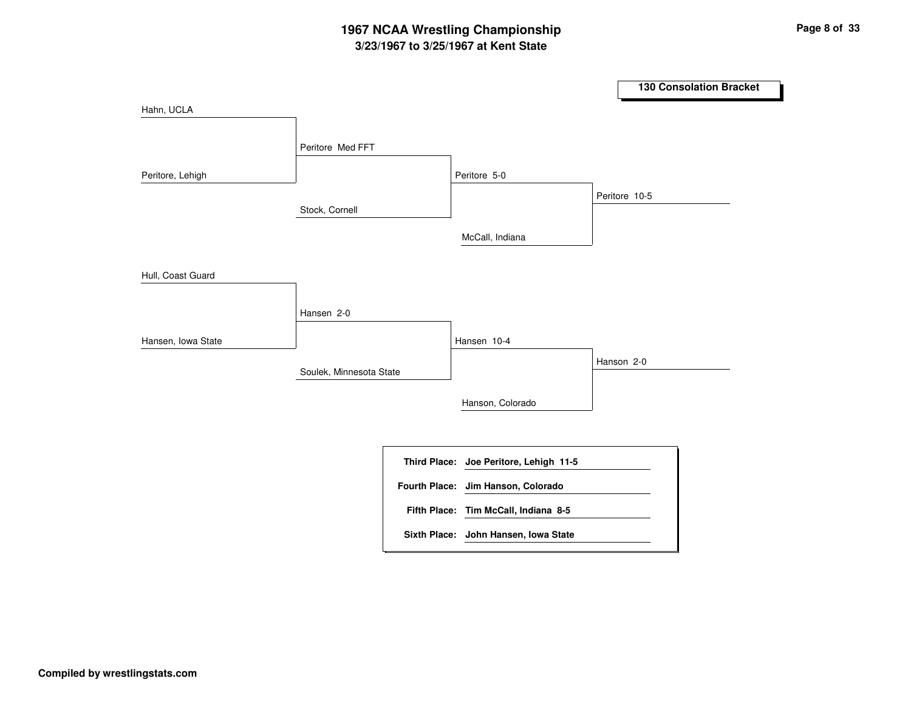## **3/23/1967 to 3/25/1967 at Kent State 1967 NCAA Wrestling Championship Page <sup>8</sup> of <sup>33</sup>**

|                    |                         |                                        | <b>130 Consolation Bracket</b> |
|--------------------|-------------------------|----------------------------------------|--------------------------------|
| Hahn, UCLA         |                         |                                        |                                |
|                    |                         |                                        |                                |
|                    | Peritore Med FFT        |                                        |                                |
| Peritore, Lehigh   |                         | Peritore 5-0                           |                                |
|                    |                         |                                        | Peritore 10-5                  |
|                    | Stock, Cornell          |                                        |                                |
|                    |                         | McCall, Indiana                        |                                |
|                    |                         |                                        |                                |
| Hull, Coast Guard  |                         |                                        |                                |
|                    | Hansen 2-0              |                                        |                                |
|                    |                         |                                        |                                |
| Hansen, Iowa State |                         | Hansen 10-4                            |                                |
|                    | Soulek, Minnesota State |                                        | Hanson 2-0                     |
|                    |                         |                                        |                                |
|                    |                         | Hanson, Colorado                       |                                |
|                    |                         |                                        |                                |
|                    |                         | Third Place: Joe Peritore, Lehigh 11-5 |                                |
|                    |                         | Fourth Place: Jim Hanson, Colorado     |                                |
|                    |                         | Fifth Place: Tim McCall, Indiana 8-5   |                                |
|                    |                         | Sixth Place: John Hansen, Iowa State   |                                |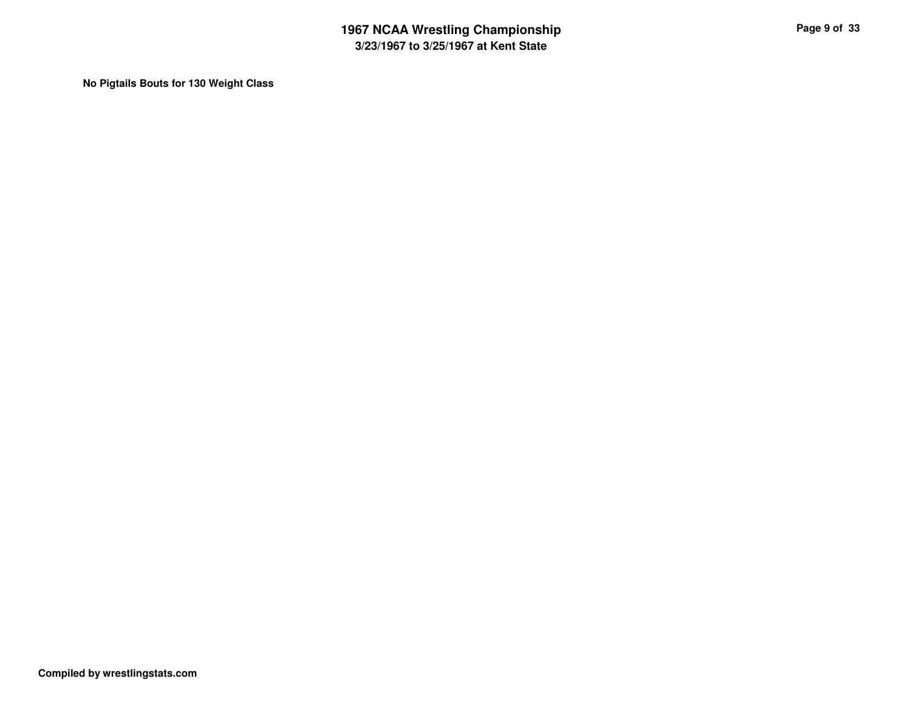**No Pigtails Bouts for 130 Weight Class**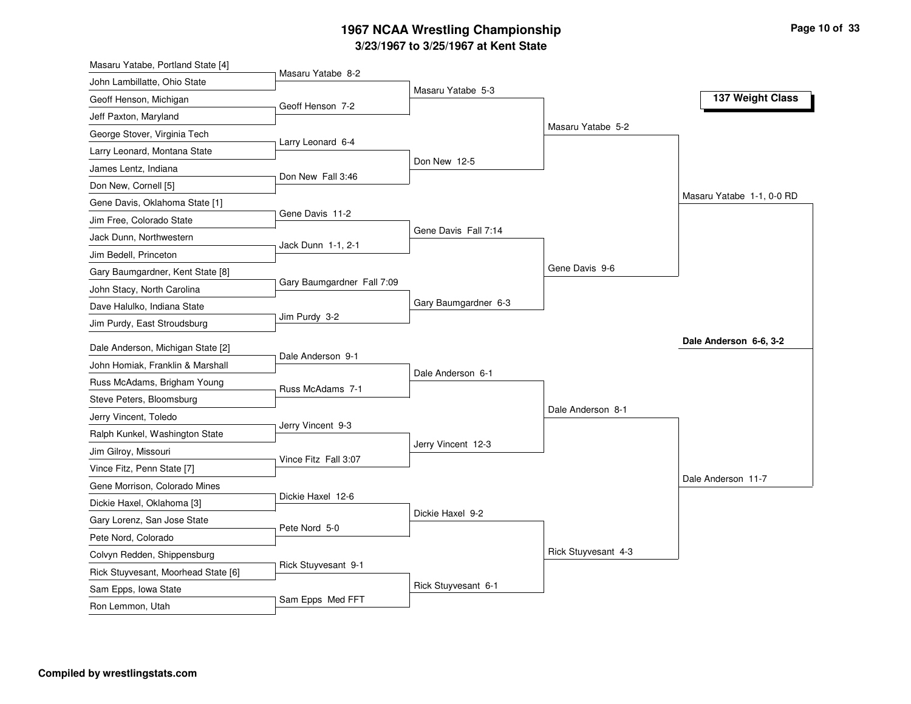## **3/23/1967 to 3/25/1967 at Kent State 1967 NCAA Wrestling Championship Page <sup>10</sup> of <sup>33</sup>**

| Masaru Yatabe 8-2<br>John Lambillatte, Ohio State<br>Masaru Yatabe 5-3<br>137 Weight Class<br>Geoff Henson, Michigan<br>Geoff Henson 7-2<br>Masaru Yatabe 5-2<br>Larry Leonard 6-4<br>Larry Leonard, Montana State<br>Don New 12-5<br>James Lentz, Indiana<br>Don New Fall 3:46<br>Don New, Cornell [5]<br>Masaru Yatabe 1-1, 0-0 RD<br>Gene Davis, Oklahoma State [1]<br>Gene Davis 11-2<br>Jim Free, Colorado State<br>Gene Davis Fall 7:14<br>Jack Dunn, Northwestern<br>Jack Dunn 1-1, 2-1<br>Gene Davis 9-6<br>Gary Baumgardner, Kent State [8]<br>Gary Baumgardner Fall 7:09<br>John Stacy, North Carolina<br>Gary Baumgardner 6-3<br>Jim Purdy 3-2<br>Dale Anderson 6-6, 3-2<br>Dale Anderson, Michigan State [2]<br>Dale Anderson 9-1<br>John Homiak, Franklin & Marshall<br>Dale Anderson 6-1<br>Russ McAdams, Brigham Young<br>Russ McAdams 7-1<br>Steve Peters, Bloomsburg<br>Dale Anderson 8-1<br>Jerry Vincent, Toledo<br>Jerry Vincent 9-3<br>Ralph Kunkel, Washington State<br>Jerry Vincent 12-3<br>Jim Gilroy, Missouri<br>Vince Fitz Fall 3:07<br>Vince Fitz, Penn State [7]<br>Dale Anderson 11-7<br>Gene Morrison, Colorado Mines<br>Dickie Haxel 12-6<br>Dickie Haxel, Oklahoma [3]<br>Dickie Haxel 9-2<br>Gary Lorenz, San Jose State<br>Pete Nord 5-0<br>Pete Nord, Colorado<br>Rick Stuyvesant 4-3<br>Colvyn Redden, Shippensburg<br>Rick Stuyvesant 9-1<br>Rick Stuyvesant, Moorhead State [6]<br>Rick Stuyvesant 6-1<br>Sam Epps, Iowa State | Masaru Yatabe, Portland State [4] |                  |  |  |
|------------------------------------------------------------------------------------------------------------------------------------------------------------------------------------------------------------------------------------------------------------------------------------------------------------------------------------------------------------------------------------------------------------------------------------------------------------------------------------------------------------------------------------------------------------------------------------------------------------------------------------------------------------------------------------------------------------------------------------------------------------------------------------------------------------------------------------------------------------------------------------------------------------------------------------------------------------------------------------------------------------------------------------------------------------------------------------------------------------------------------------------------------------------------------------------------------------------------------------------------------------------------------------------------------------------------------------------------------------------------------------------------------------------------------------------------------------------------|-----------------------------------|------------------|--|--|
|                                                                                                                                                                                                                                                                                                                                                                                                                                                                                                                                                                                                                                                                                                                                                                                                                                                                                                                                                                                                                                                                                                                                                                                                                                                                                                                                                                                                                                                                        |                                   |                  |  |  |
|                                                                                                                                                                                                                                                                                                                                                                                                                                                                                                                                                                                                                                                                                                                                                                                                                                                                                                                                                                                                                                                                                                                                                                                                                                                                                                                                                                                                                                                                        |                                   |                  |  |  |
|                                                                                                                                                                                                                                                                                                                                                                                                                                                                                                                                                                                                                                                                                                                                                                                                                                                                                                                                                                                                                                                                                                                                                                                                                                                                                                                                                                                                                                                                        | Jeff Paxton, Maryland             |                  |  |  |
|                                                                                                                                                                                                                                                                                                                                                                                                                                                                                                                                                                                                                                                                                                                                                                                                                                                                                                                                                                                                                                                                                                                                                                                                                                                                                                                                                                                                                                                                        | George Stover, Virginia Tech      |                  |  |  |
|                                                                                                                                                                                                                                                                                                                                                                                                                                                                                                                                                                                                                                                                                                                                                                                                                                                                                                                                                                                                                                                                                                                                                                                                                                                                                                                                                                                                                                                                        |                                   |                  |  |  |
|                                                                                                                                                                                                                                                                                                                                                                                                                                                                                                                                                                                                                                                                                                                                                                                                                                                                                                                                                                                                                                                                                                                                                                                                                                                                                                                                                                                                                                                                        |                                   |                  |  |  |
|                                                                                                                                                                                                                                                                                                                                                                                                                                                                                                                                                                                                                                                                                                                                                                                                                                                                                                                                                                                                                                                                                                                                                                                                                                                                                                                                                                                                                                                                        |                                   |                  |  |  |
|                                                                                                                                                                                                                                                                                                                                                                                                                                                                                                                                                                                                                                                                                                                                                                                                                                                                                                                                                                                                                                                                                                                                                                                                                                                                                                                                                                                                                                                                        |                                   |                  |  |  |
|                                                                                                                                                                                                                                                                                                                                                                                                                                                                                                                                                                                                                                                                                                                                                                                                                                                                                                                                                                                                                                                                                                                                                                                                                                                                                                                                                                                                                                                                        |                                   |                  |  |  |
|                                                                                                                                                                                                                                                                                                                                                                                                                                                                                                                                                                                                                                                                                                                                                                                                                                                                                                                                                                                                                                                                                                                                                                                                                                                                                                                                                                                                                                                                        |                                   |                  |  |  |
|                                                                                                                                                                                                                                                                                                                                                                                                                                                                                                                                                                                                                                                                                                                                                                                                                                                                                                                                                                                                                                                                                                                                                                                                                                                                                                                                                                                                                                                                        | Jim Bedell, Princeton             |                  |  |  |
|                                                                                                                                                                                                                                                                                                                                                                                                                                                                                                                                                                                                                                                                                                                                                                                                                                                                                                                                                                                                                                                                                                                                                                                                                                                                                                                                                                                                                                                                        |                                   |                  |  |  |
|                                                                                                                                                                                                                                                                                                                                                                                                                                                                                                                                                                                                                                                                                                                                                                                                                                                                                                                                                                                                                                                                                                                                                                                                                                                                                                                                                                                                                                                                        |                                   |                  |  |  |
|                                                                                                                                                                                                                                                                                                                                                                                                                                                                                                                                                                                                                                                                                                                                                                                                                                                                                                                                                                                                                                                                                                                                                                                                                                                                                                                                                                                                                                                                        | Dave Halulko, Indiana State       |                  |  |  |
|                                                                                                                                                                                                                                                                                                                                                                                                                                                                                                                                                                                                                                                                                                                                                                                                                                                                                                                                                                                                                                                                                                                                                                                                                                                                                                                                                                                                                                                                        | Jim Purdy, East Stroudsburg       |                  |  |  |
|                                                                                                                                                                                                                                                                                                                                                                                                                                                                                                                                                                                                                                                                                                                                                                                                                                                                                                                                                                                                                                                                                                                                                                                                                                                                                                                                                                                                                                                                        |                                   |                  |  |  |
|                                                                                                                                                                                                                                                                                                                                                                                                                                                                                                                                                                                                                                                                                                                                                                                                                                                                                                                                                                                                                                                                                                                                                                                                                                                                                                                                                                                                                                                                        |                                   |                  |  |  |
|                                                                                                                                                                                                                                                                                                                                                                                                                                                                                                                                                                                                                                                                                                                                                                                                                                                                                                                                                                                                                                                                                                                                                                                                                                                                                                                                                                                                                                                                        |                                   |                  |  |  |
|                                                                                                                                                                                                                                                                                                                                                                                                                                                                                                                                                                                                                                                                                                                                                                                                                                                                                                                                                                                                                                                                                                                                                                                                                                                                                                                                                                                                                                                                        |                                   |                  |  |  |
|                                                                                                                                                                                                                                                                                                                                                                                                                                                                                                                                                                                                                                                                                                                                                                                                                                                                                                                                                                                                                                                                                                                                                                                                                                                                                                                                                                                                                                                                        |                                   |                  |  |  |
|                                                                                                                                                                                                                                                                                                                                                                                                                                                                                                                                                                                                                                                                                                                                                                                                                                                                                                                                                                                                                                                                                                                                                                                                                                                                                                                                                                                                                                                                        |                                   |                  |  |  |
|                                                                                                                                                                                                                                                                                                                                                                                                                                                                                                                                                                                                                                                                                                                                                                                                                                                                                                                                                                                                                                                                                                                                                                                                                                                                                                                                                                                                                                                                        |                                   |                  |  |  |
|                                                                                                                                                                                                                                                                                                                                                                                                                                                                                                                                                                                                                                                                                                                                                                                                                                                                                                                                                                                                                                                                                                                                                                                                                                                                                                                                                                                                                                                                        |                                   |                  |  |  |
|                                                                                                                                                                                                                                                                                                                                                                                                                                                                                                                                                                                                                                                                                                                                                                                                                                                                                                                                                                                                                                                                                                                                                                                                                                                                                                                                                                                                                                                                        |                                   |                  |  |  |
|                                                                                                                                                                                                                                                                                                                                                                                                                                                                                                                                                                                                                                                                                                                                                                                                                                                                                                                                                                                                                                                                                                                                                                                                                                                                                                                                                                                                                                                                        |                                   |                  |  |  |
|                                                                                                                                                                                                                                                                                                                                                                                                                                                                                                                                                                                                                                                                                                                                                                                                                                                                                                                                                                                                                                                                                                                                                                                                                                                                                                                                                                                                                                                                        |                                   |                  |  |  |
|                                                                                                                                                                                                                                                                                                                                                                                                                                                                                                                                                                                                                                                                                                                                                                                                                                                                                                                                                                                                                                                                                                                                                                                                                                                                                                                                                                                                                                                                        |                                   |                  |  |  |
|                                                                                                                                                                                                                                                                                                                                                                                                                                                                                                                                                                                                                                                                                                                                                                                                                                                                                                                                                                                                                                                                                                                                                                                                                                                                                                                                                                                                                                                                        |                                   |                  |  |  |
|                                                                                                                                                                                                                                                                                                                                                                                                                                                                                                                                                                                                                                                                                                                                                                                                                                                                                                                                                                                                                                                                                                                                                                                                                                                                                                                                                                                                                                                                        |                                   |                  |  |  |
|                                                                                                                                                                                                                                                                                                                                                                                                                                                                                                                                                                                                                                                                                                                                                                                                                                                                                                                                                                                                                                                                                                                                                                                                                                                                                                                                                                                                                                                                        |                                   |                  |  |  |
| Ron Lemmon, Utah                                                                                                                                                                                                                                                                                                                                                                                                                                                                                                                                                                                                                                                                                                                                                                                                                                                                                                                                                                                                                                                                                                                                                                                                                                                                                                                                                                                                                                                       |                                   | Sam Epps Med FFT |  |  |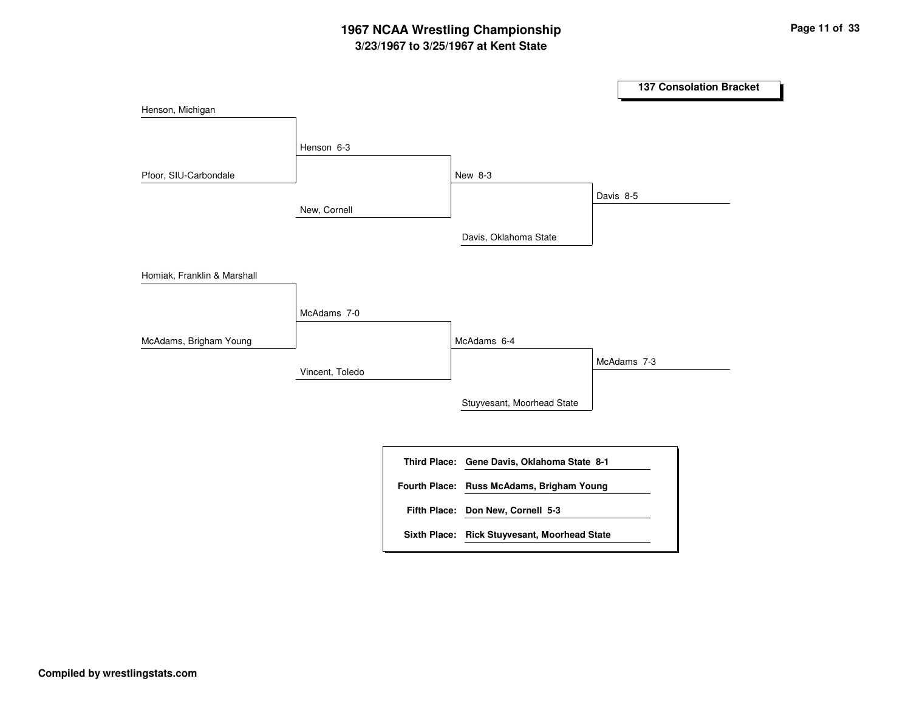# **3/23/1967 to 3/25/1967 at Kent State 1967 NCAA Wrestling Championship Page <sup>11</sup> of <sup>33</sup>**

|                             |                 |                                              | <b>137 Consolation Bracket</b> |  |
|-----------------------------|-----------------|----------------------------------------------|--------------------------------|--|
| Henson, Michigan            |                 |                                              |                                |  |
|                             | Henson 6-3      |                                              |                                |  |
|                             |                 |                                              |                                |  |
| Pfoor, SIU-Carbondale       |                 | New 8-3                                      | Davis 8-5                      |  |
|                             | New, Cornell    |                                              |                                |  |
|                             |                 | Davis, Oklahoma State                        |                                |  |
| Homiak, Franklin & Marshall |                 |                                              |                                |  |
|                             | McAdams 7-0     |                                              |                                |  |
| McAdams, Brigham Young      |                 | McAdams 6-4                                  |                                |  |
|                             | Vincent, Toledo |                                              | McAdams 7-3                    |  |
|                             |                 | Stuyvesant, Moorhead State                   |                                |  |
|                             |                 |                                              |                                |  |
|                             |                 | Third Place: Gene Davis, Oklahoma State 8-1  |                                |  |
|                             |                 | Fourth Place: Russ McAdams, Brigham Young    |                                |  |
|                             |                 | Fifth Place: Don New, Cornell 5-3            |                                |  |
|                             |                 | Sixth Place: Rick Stuyvesant, Moorhead State |                                |  |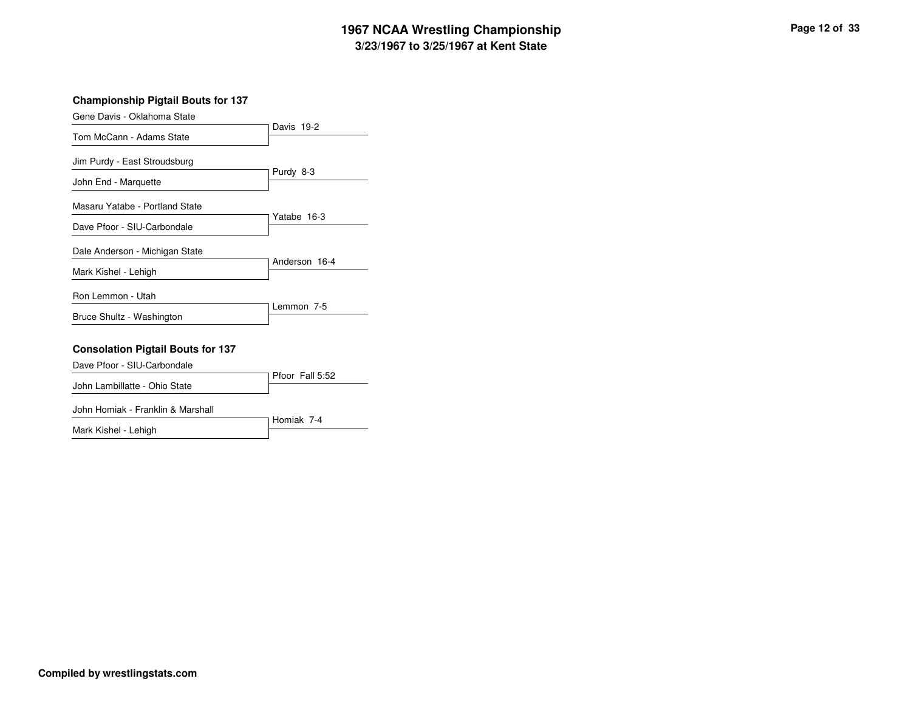#### **3/23/1967 to 3/25/1967 at Kent State 1967 NCAA Wrestling Championship Page <sup>12</sup> of <sup>33</sup>**

#### **Championship Pigtail Bouts for 137**

| Gene Davis - Oklahoma State              | Davis 19-2              |
|------------------------------------------|-------------------------|
| Tom McCann - Adams State                 |                         |
| Jim Purdy - East Stroudsburg             |                         |
| John End - Marquette                     | Purdy 8-3               |
| Masaru Yatabe - Portland State           |                         |
| Dave Pfoor - SIU-Carbondale              | Yatabe 16-3             |
| Dale Anderson - Michigan State           |                         |
| Mark Kishel - Lehigh                     | Anderson 16-4           |
| Ron Lemmon - Utah                        |                         |
| Bruce Shultz - Washington                | Lemmon 7-5              |
| <b>Consolation Pigtail Bouts for 137</b> |                         |
| Dave Pfoor - SIU-Carbondale              | $Pf$ or $F$ all $F$ $F$ |

|                                   | Pfoor Fall 5:52 |
|-----------------------------------|-----------------|
| John Lambillatte - Ohio State     |                 |
| John Homiak - Franklin & Marshall |                 |
|                                   | Homiak 7-4      |
| Mark Kishel - Lehigh              |                 |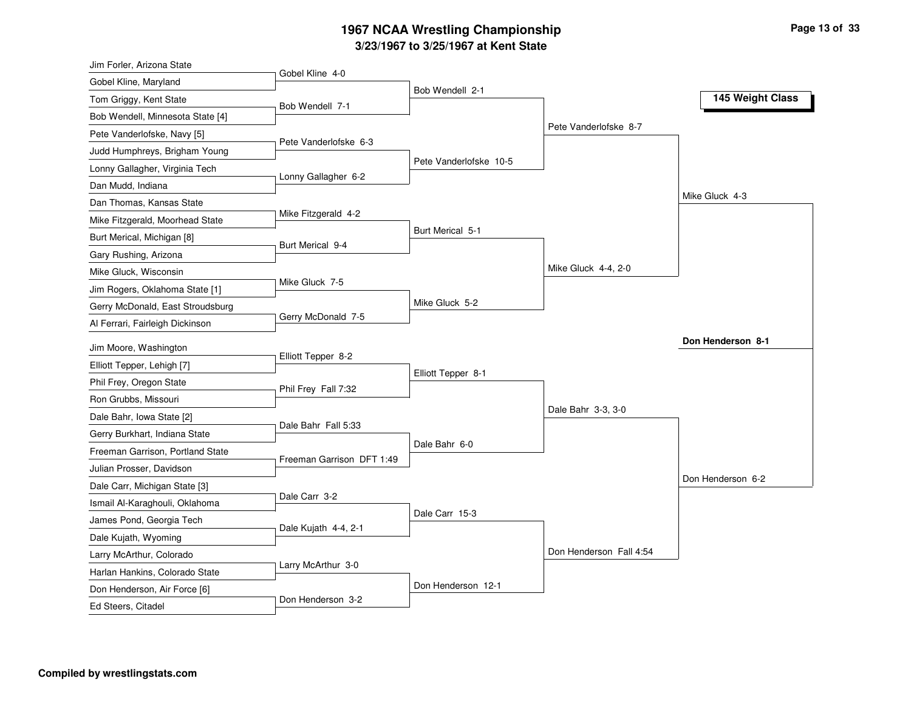## **3/23/1967 to 3/25/1967 at Kent State 1967 NCAA Wrestling Championship Page <sup>13</sup> of <sup>33</sup>**

| Jim Forler, Arizona State                                         |                           |                        |                         |                   |
|-------------------------------------------------------------------|---------------------------|------------------------|-------------------------|-------------------|
| Gobel Kline, Maryland                                             | Gobel Kline 4-0           |                        |                         |                   |
| Tom Griggy, Kent State                                            | Bob Wendell 7-1           | Bob Wendell 2-1        |                         | 145 Weight Class  |
| Bob Wendell, Minnesota State [4]                                  |                           |                        |                         |                   |
| Pete Vanderlofske, Navy [5]                                       |                           |                        | Pete Vanderlofske 8-7   |                   |
| Judd Humphreys, Brigham Young                                     | Pete Vanderlofske 6-3     |                        |                         |                   |
| Lonny Gallagher, Virginia Tech                                    |                           | Pete Vanderlofske 10-5 |                         |                   |
| Dan Mudd, Indiana                                                 | Lonny Gallagher 6-2       |                        |                         |                   |
| Dan Thomas, Kansas State                                          |                           |                        |                         | Mike Gluck 4-3    |
| Mike Fitzgerald, Moorhead State                                   | Mike Fitzgerald 4-2       |                        |                         |                   |
| Burt Merical, Michigan [8]                                        |                           | Burt Merical 5-1       |                         |                   |
| Gary Rushing, Arizona                                             | Burt Merical 9-4          |                        |                         |                   |
| Mike Gluck, Wisconsin                                             |                           |                        | Mike Gluck 4-4, 2-0     |                   |
| Jim Rogers, Oklahoma State [1]                                    | Mike Gluck 7-5            |                        |                         |                   |
| Gerry McDonald, East Stroudsburg                                  |                           | Mike Gluck 5-2         |                         |                   |
| Al Ferrari, Fairleigh Dickinson                                   | Gerry McDonald 7-5        |                        |                         |                   |
| Jim Moore, Washington                                             |                           |                        |                         | Don Henderson 8-1 |
| Elliott Tepper, Lehigh [7]                                        | Elliott Tepper 8-2        |                        |                         |                   |
| Phil Frey, Oregon State                                           |                           | Elliott Tepper 8-1     |                         |                   |
| Ron Grubbs, Missouri                                              | Phil Frey Fall 7:32       |                        |                         |                   |
| Dale Bahr, Iowa State [2]                                         |                           |                        | Dale Bahr 3-3, 3-0      |                   |
|                                                                   | Dale Bahr Fall 5:33       |                        |                         |                   |
| Gerry Burkhart, Indiana State<br>Freeman Garrison, Portland State |                           | Dale Bahr 6-0          |                         |                   |
|                                                                   | Freeman Garrison DFT 1:49 |                        |                         |                   |
| Julian Prosser, Davidson                                          |                           |                        |                         | Don Henderson 6-2 |
| Dale Carr, Michigan State [3]                                     | Dale Carr 3-2             |                        |                         |                   |
| Ismail Al-Karaghouli, Oklahoma                                    |                           | Dale Carr 15-3         |                         |                   |
| James Pond, Georgia Tech                                          | Dale Kujath 4-4, 2-1      |                        |                         |                   |
| Dale Kujath, Wyoming                                              |                           |                        | Don Henderson Fall 4:54 |                   |
| Larry McArthur, Colorado                                          | Larry McArthur 3-0        |                        |                         |                   |
| Harlan Hankins, Colorado State                                    |                           | Don Henderson 12-1     |                         |                   |
| Don Henderson, Air Force [6]                                      | Don Henderson 3-2         |                        |                         |                   |
| Ed Steers, Citadel                                                |                           |                        |                         |                   |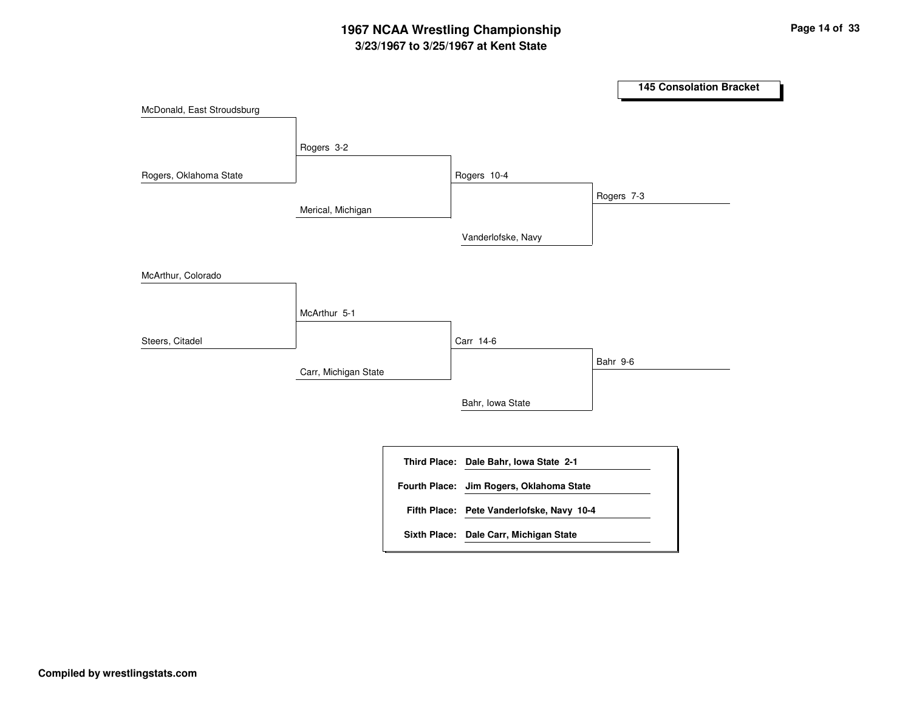## **3/23/1967 to 3/25/1967 at Kent State 1967 NCAA Wrestling Championship Page <sup>14</sup> of <sup>33</sup>**

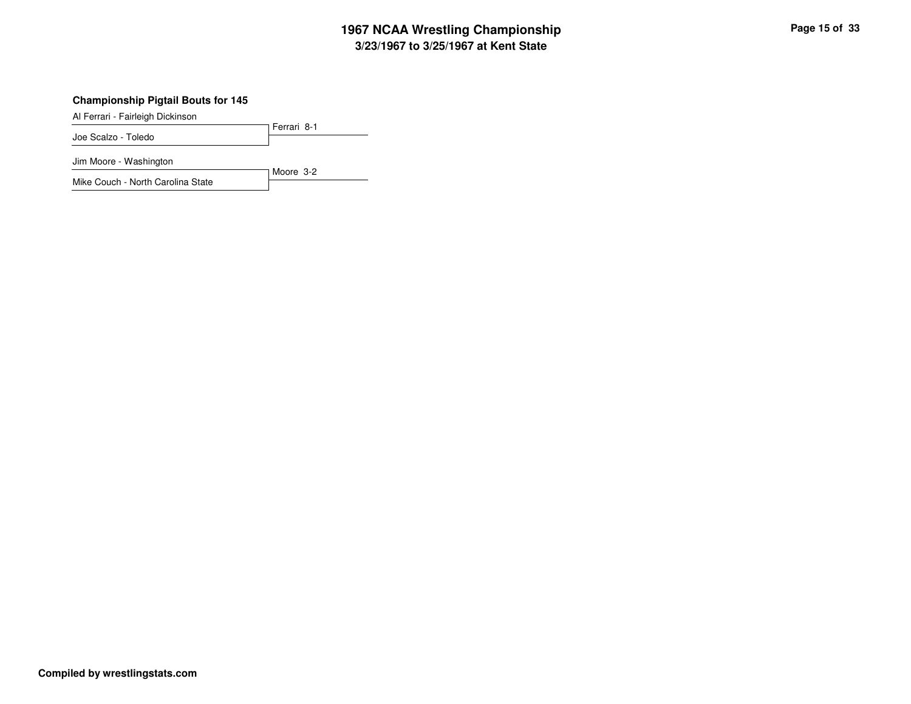#### **3/23/1967 to 3/25/1967 at Kent State 1967 NCAA Wrestling Championship Page <sup>15</sup> of <sup>33</sup>**

#### **Championship Pigtail Bouts for 145**

Al Ferrari - Fairleigh Dickinson

Ferrari 8-1 Joe Scalzo - Toledo Jim Moore - Washington

Moore 3-2 Mike Couch - North Carolina State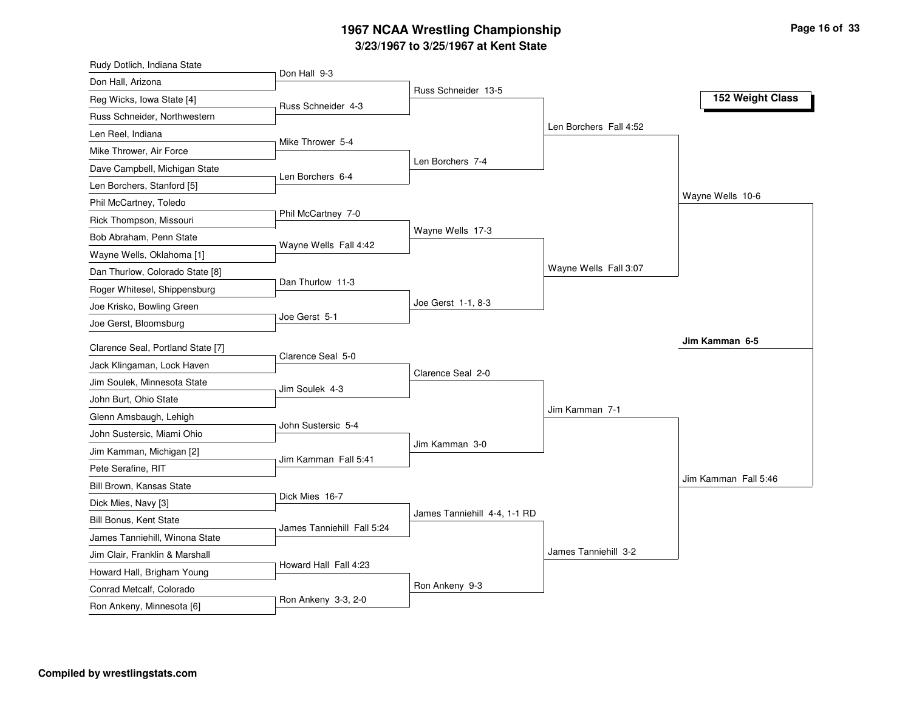## **3/23/1967 to 3/25/1967 at Kent State 1967 NCAA Wrestling Championship Page <sup>16</sup> of <sup>33</sup>**

| Rudy Dotlich, Indiana State                    |                            |                              |                        |                      |
|------------------------------------------------|----------------------------|------------------------------|------------------------|----------------------|
| Don Hall, Arizona                              | Don Hall 9-3               |                              |                        |                      |
| Reg Wicks, Iowa State [4]                      | Russ Schneider 4-3         | Russ Schneider 13-5          |                        | 152 Weight Class     |
| Russ Schneider, Northwestern                   |                            |                              |                        |                      |
| Len Reel, Indiana                              |                            |                              | Len Borchers Fall 4:52 |                      |
| Mike Thrower, Air Force                        | Mike Thrower 5-4           |                              |                        |                      |
| Dave Campbell, Michigan State                  |                            | Len Borchers 7-4             |                        |                      |
| Len Borchers, Stanford [5]                     | Len Borchers 6-4           |                              |                        |                      |
| Phil McCartney, Toledo                         |                            |                              |                        | Wayne Wells 10-6     |
| Rick Thompson, Missouri                        | Phil McCartney 7-0         |                              |                        |                      |
| Bob Abraham, Penn State                        |                            | Wayne Wells 17-3             |                        |                      |
| Wayne Wells, Oklahoma [1]                      | Wayne Wells Fall 4:42      |                              |                        |                      |
| Dan Thurlow, Colorado State [8]                |                            |                              | Wayne Wells Fall 3:07  |                      |
| Roger Whitesel, Shippensburg                   | Dan Thurlow 11-3           |                              |                        |                      |
| Joe Krisko, Bowling Green                      |                            | Joe Gerst 1-1, 8-3           |                        |                      |
| Joe Gerst, Bloomsburg                          | Joe Gerst 5-1              |                              |                        |                      |
| Clarence Seal, Portland State [7]              |                            |                              |                        | Jim Kamman 6-5       |
| Jack Klingaman, Lock Haven                     | Clarence Seal 5-0          |                              |                        |                      |
| Jim Soulek, Minnesota State                    |                            | Clarence Seal 2-0            |                        |                      |
| John Burt, Ohio State                          | Jim Soulek 4-3             |                              |                        |                      |
| Glenn Amsbaugh, Lehigh                         |                            |                              | Jim Kamman 7-1         |                      |
| John Sustersic, Miami Ohio                     | John Sustersic 5-4         |                              |                        |                      |
|                                                |                            | Jim Kamman 3-0               |                        |                      |
| Jim Kamman, Michigan [2]                       | Jim Kamman Fall 5:41       |                              |                        |                      |
| Pete Serafine, RIT<br>Bill Brown, Kansas State |                            |                              |                        | Jim Kamman Fall 5:46 |
| Dick Mies, Navy [3]                            | Dick Mies 16-7             |                              |                        |                      |
| <b>Bill Bonus, Kent State</b>                  |                            | James Tanniehill 4-4, 1-1 RD |                        |                      |
| James Tanniehill, Winona State                 | James Tanniehill Fall 5:24 |                              |                        |                      |
| Jim Clair, Franklin & Marshall                 |                            |                              | James Tanniehill 3-2   |                      |
|                                                | Howard Hall Fall 4:23      |                              |                        |                      |
| Howard Hall, Brigham Young                     |                            | Ron Ankeny 9-3               |                        |                      |
| Conrad Metcalf, Colorado                       | Ron Ankeny 3-3, 2-0        |                              |                        |                      |
| Ron Ankeny, Minnesota [6]                      |                            |                              |                        |                      |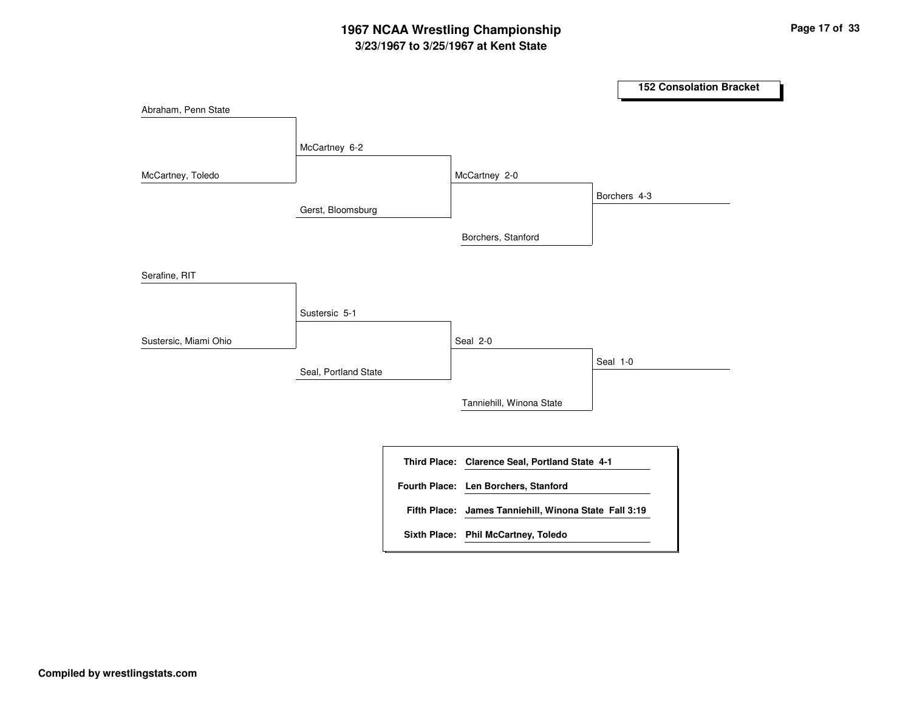# **3/23/1967 to 3/25/1967 at Kent State 1967 NCAA Wrestling Championship Page <sup>17</sup> of <sup>33</sup>**

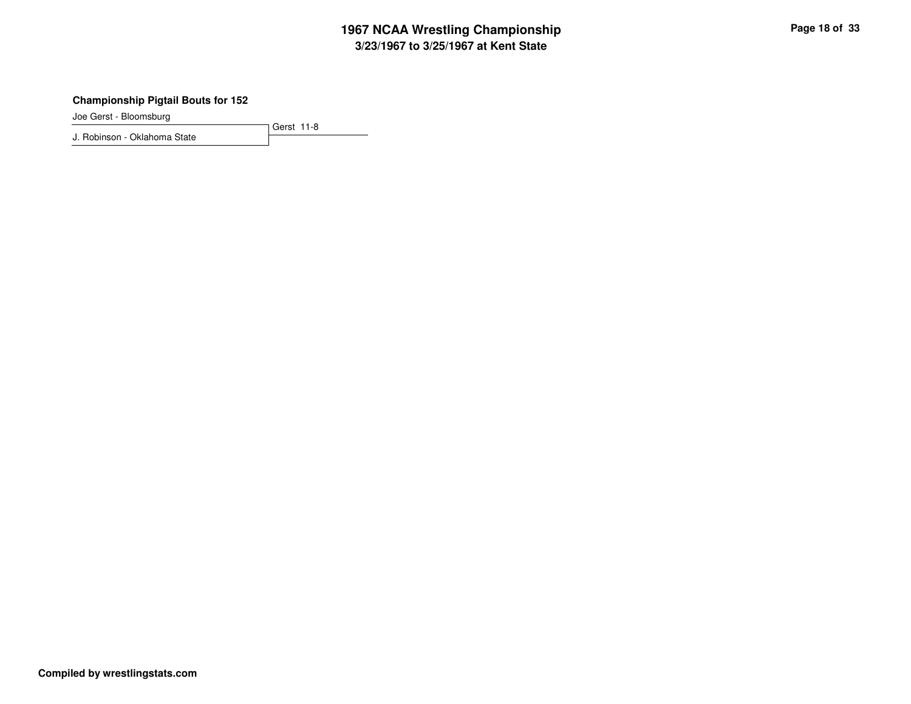## **3/23/1967 to 3/25/1967 at Kent State 1967 NCAA Wrestling Championship Page <sup>18</sup> of <sup>33</sup>**

#### **Championship Pigtail Bouts for 152**

Joe Gerst - Bloomsburg

J. Robinson - Oklahoma State

Gerst 11-8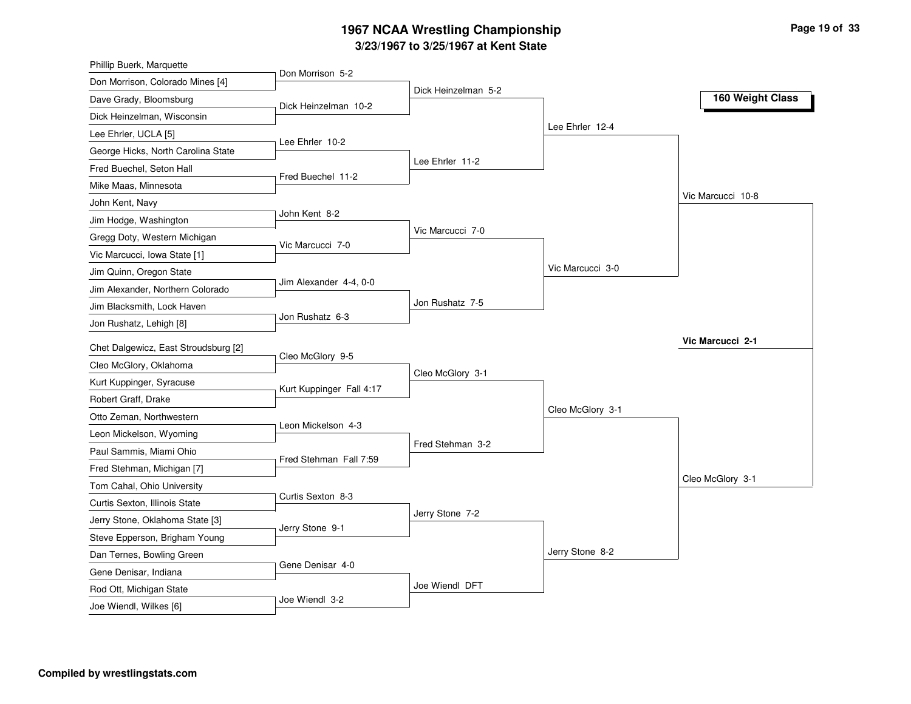## **3/23/1967 to 3/25/1967 at Kent State 1967 NCAA Wrestling Championship Page <sup>19</sup> of <sup>33</sup>**

| Phillip Buerk, Marquette             |                          |                     |                  |                   |
|--------------------------------------|--------------------------|---------------------|------------------|-------------------|
| Don Morrison, Colorado Mines [4]     | Don Morrison 5-2         |                     |                  |                   |
| Dave Grady, Bloomsburg               | Dick Heinzelman 10-2     | Dick Heinzelman 5-2 |                  | 160 Weight Class  |
| Dick Heinzelman, Wisconsin           |                          |                     |                  |                   |
| Lee Ehrler, UCLA [5]                 |                          |                     | Lee Ehrler 12-4  |                   |
| George Hicks, North Carolina State   | Lee Ehrler 10-2          |                     |                  |                   |
| Fred Buechel, Seton Hall             |                          | Lee Ehrler 11-2     |                  |                   |
| Mike Maas, Minnesota                 | Fred Buechel 11-2        |                     |                  |                   |
| John Kent, Navy                      |                          |                     |                  | Vic Marcucci 10-8 |
| Jim Hodge, Washington                | John Kent 8-2            |                     |                  |                   |
| Gregg Doty, Western Michigan         |                          | Vic Marcucci 7-0    |                  |                   |
| Vic Marcucci, Iowa State [1]         | Vic Marcucci 7-0         |                     |                  |                   |
| Jim Quinn, Oregon State              |                          |                     | Vic Marcucci 3-0 |                   |
| Jim Alexander, Northern Colorado     | Jim Alexander 4-4, 0-0   |                     |                  |                   |
| Jim Blacksmith, Lock Haven           |                          | Jon Rushatz 7-5     |                  |                   |
| Jon Rushatz, Lehigh [8]              | Jon Rushatz 6-3          |                     |                  |                   |
| Chet Dalgewicz, East Stroudsburg [2] |                          |                     |                  | Vic Marcucci 2-1  |
| Cleo McGlory, Oklahoma               | Cleo McGlory 9-5         |                     |                  |                   |
| Kurt Kuppinger, Syracuse             |                          | Cleo McGlory 3-1    |                  |                   |
| Robert Graff, Drake                  | Kurt Kuppinger Fall 4:17 |                     |                  |                   |
| Otto Zeman, Northwestern             |                          |                     | Cleo McGlory 3-1 |                   |
| Leon Mickelson, Wyoming              | Leon Mickelson 4-3       |                     |                  |                   |
| Paul Sammis, Miami Ohio              |                          | Fred Stehman 3-2    |                  |                   |
| Fred Stehman, Michigan [7]           | Fred Stehman Fall 7:59   |                     |                  |                   |
| Tom Cahal, Ohio University           |                          |                     |                  | Cleo McGlory 3-1  |
| Curtis Sexton, Illinois State        | Curtis Sexton 8-3        |                     |                  |                   |
| Jerry Stone, Oklahoma State [3]      |                          | Jerry Stone 7-2     |                  |                   |
| Steve Epperson, Brigham Young        | Jerry Stone 9-1          |                     |                  |                   |
| Dan Ternes, Bowling Green            |                          |                     | Jerry Stone 8-2  |                   |
| Gene Denisar, Indiana                | Gene Denisar 4-0         |                     |                  |                   |
| Rod Ott, Michigan State              |                          | Joe Wiendl DFT      |                  |                   |
|                                      | Joe Wiendl 3-2           |                     |                  |                   |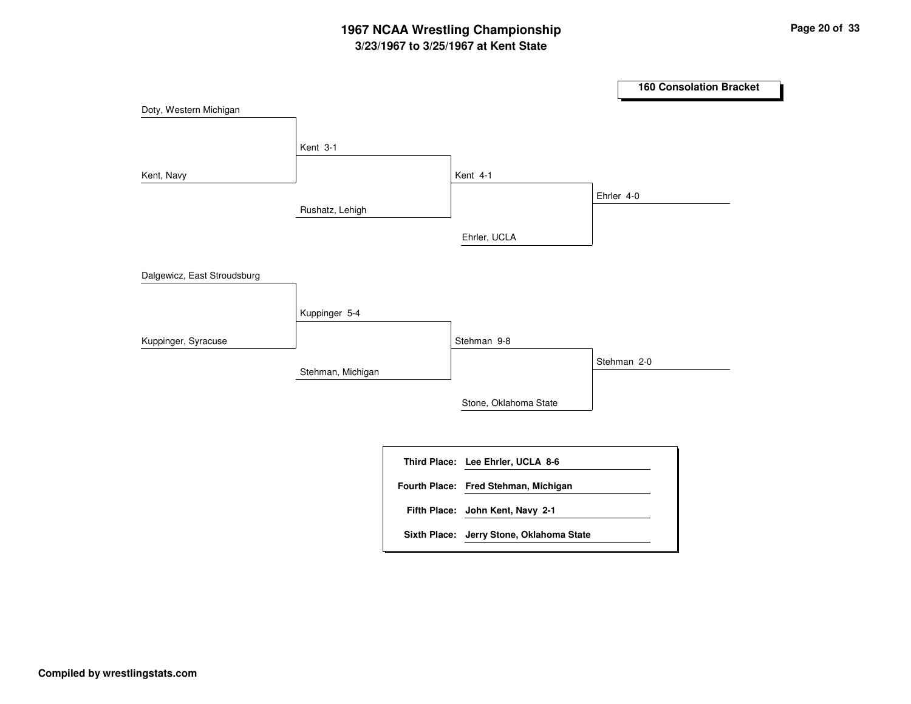# **3/23/1967 to 3/25/1967 at Kent State 1967 NCAA Wrestling Championship Page <sup>20</sup> of <sup>33</sup>**

|                             |                   |                                                                           |            | <b>160 Consolation Bracket</b> |
|-----------------------------|-------------------|---------------------------------------------------------------------------|------------|--------------------------------|
| Doty, Western Michigan      |                   |                                                                           |            |                                |
|                             | Kent 3-1          |                                                                           |            |                                |
| Kent, Navy                  |                   | Kent 4-1                                                                  |            |                                |
|                             | Rushatz, Lehigh   |                                                                           | Ehrler 4-0 |                                |
|                             |                   | Ehrler, UCLA                                                              |            |                                |
| Dalgewicz, East Stroudsburg |                   |                                                                           |            |                                |
|                             | Kuppinger 5-4     |                                                                           |            |                                |
| Kuppinger, Syracuse         |                   | Stehman 9-8                                                               |            |                                |
|                             | Stehman, Michigan |                                                                           |            | Stehman 2-0                    |
|                             |                   | Stone, Oklahoma State                                                     |            |                                |
|                             |                   |                                                                           |            |                                |
|                             |                   | Third Place: Lee Ehrler, UCLA 8-6<br>Fourth Place: Fred Stehman, Michigan |            |                                |
|                             |                   | Fifth Place: John Kent, Navy 2-1                                          |            |                                |
|                             |                   | Sixth Place: Jerry Stone, Oklahoma State                                  |            |                                |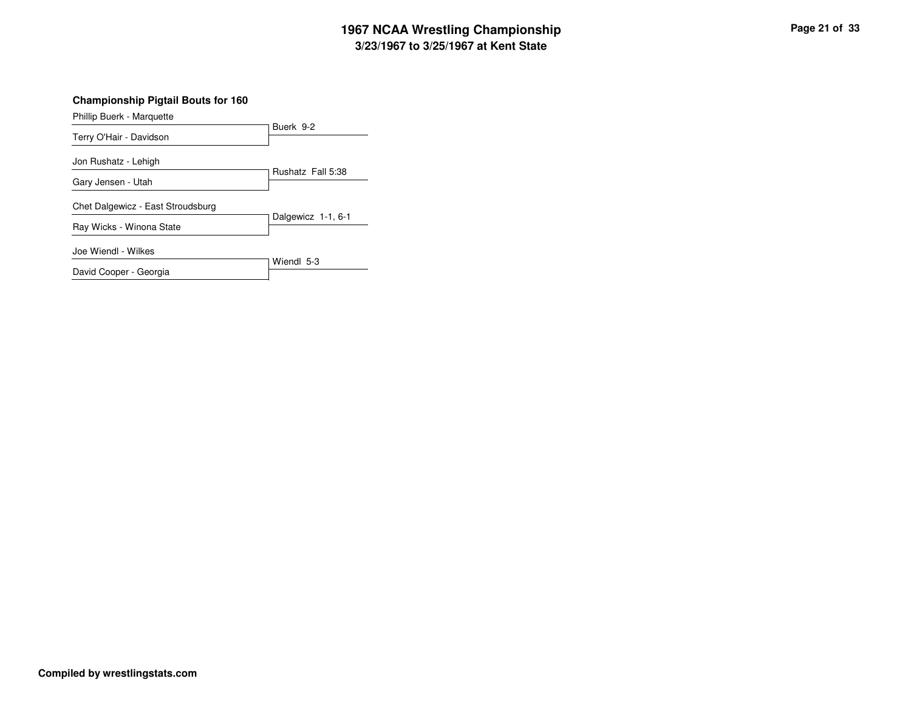#### **3/23/1967 to 3/25/1967 at Kent State 1967 NCAA Wrestling Championship Page <sup>21</sup> of <sup>33</sup>**

**Championship Pigtail Bouts for 160**

Buerk 9-2 Phillip Buerk - Marquette Terry O'Hair - Davidson Rushatz Fall 5:38 Jon Rushatz - Lehigh Gary Jensen - Utah Dalgewicz 1-1, 6-1 Chet Dalgewicz - East Stroudsburg Ray Wicks - Winona State Wiendl 5-3 Joe Wiendl - Wilkes David Cooper - Georgia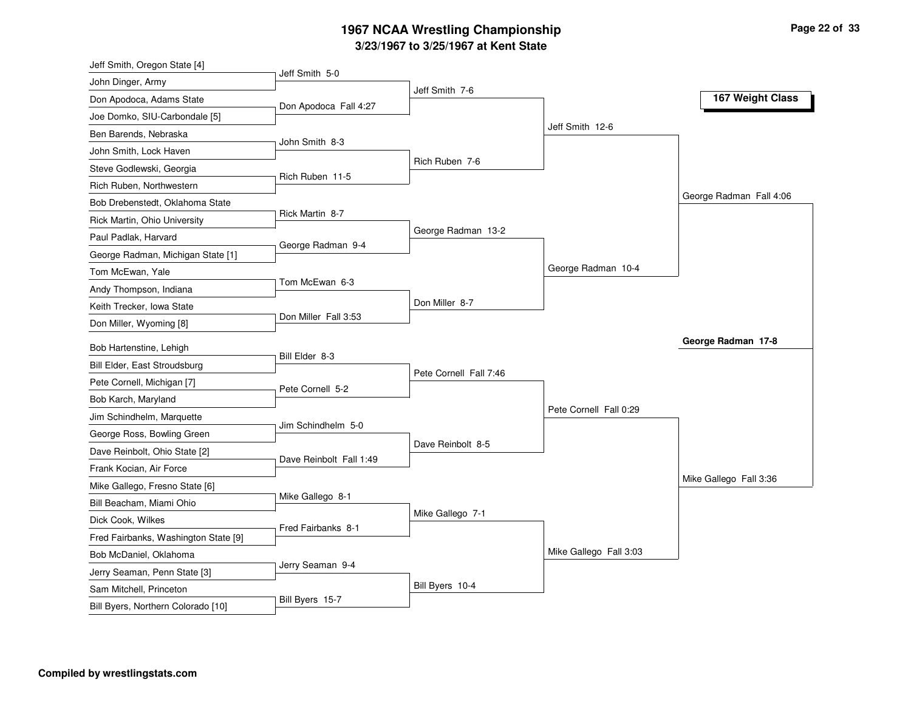#### **3/23/1967 to 3/25/1967 at Kent State 1967 NCAA Wrestling Championship Page <sup>22</sup> of <sup>33</sup>**

| Jeff Smith, Oregon State [4]                               |                         |                        |                        |                         |
|------------------------------------------------------------|-------------------------|------------------------|------------------------|-------------------------|
| John Dinger, Army                                          | Jeff Smith 5-0          |                        |                        |                         |
| Don Apodoca, Adams State                                   | Don Apodoca Fall 4:27   | Jeff Smith 7-6         |                        | 167 Weight Class        |
| Joe Domko, SIU-Carbondale [5]                              |                         |                        |                        |                         |
| Ben Barends, Nebraska                                      |                         |                        | Jeff Smith 12-6        |                         |
| John Smith, Lock Haven                                     | John Smith 8-3          |                        |                        |                         |
| Steve Godlewski, Georgia                                   |                         | Rich Ruben 7-6         |                        |                         |
| Rich Ruben, Northwestern                                   | Rich Ruben 11-5         |                        |                        |                         |
| Bob Drebenstedt, Oklahoma State                            |                         |                        |                        | George Radman Fall 4:06 |
| Rick Martin, Ohio University                               | Rick Martin 8-7         |                        |                        |                         |
| Paul Padlak, Harvard                                       |                         | George Radman 13-2     |                        |                         |
| George Radman, Michigan State [1]                          | George Radman 9-4       |                        |                        |                         |
| Tom McEwan, Yale                                           |                         |                        | George Radman 10-4     |                         |
| Andy Thompson, Indiana                                     | Tom McEwan 6-3          |                        |                        |                         |
| Keith Trecker, Iowa State                                  |                         | Don Miller 8-7         |                        |                         |
| Don Miller, Wyoming [8]                                    | Don Miller Fall 3:53    |                        |                        |                         |
| Bob Hartenstine, Lehigh                                    |                         |                        |                        | George Radman 17-8      |
| Bill Elder, East Stroudsburg                               | Bill Elder 8-3          |                        |                        |                         |
| Pete Cornell, Michigan [7]                                 |                         | Pete Cornell Fall 7:46 |                        |                         |
| Bob Karch, Maryland                                        | Pete Cornell 5-2        |                        |                        |                         |
| Jim Schindhelm, Marquette                                  |                         |                        | Pete Cornell Fall 0:29 |                         |
|                                                            | Jim Schindhelm 5-0      |                        |                        |                         |
| George Ross, Bowling Green                                 |                         | Dave Reinbolt 8-5      |                        |                         |
| Dave Reinbolt, Ohio State [2]                              | Dave Reinbolt Fall 1:49 |                        |                        |                         |
| Frank Kocian, Air Force                                    |                         |                        |                        | Mike Gallego Fall 3:36  |
| Mike Gallego, Fresno State [6]<br>Bill Beacham, Miami Ohio | Mike Gallego 8-1        |                        |                        |                         |
|                                                            |                         | Mike Gallego 7-1       |                        |                         |
| Dick Cook, Wilkes                                          | Fred Fairbanks 8-1      |                        |                        |                         |
| Fred Fairbanks, Washington State [9]                       |                         |                        | Mike Gallego Fall 3:03 |                         |
| Bob McDaniel, Oklahoma                                     | Jerry Seaman 9-4        |                        |                        |                         |
| Jerry Seaman, Penn State [3]                               |                         | Bill Byers 10-4        |                        |                         |
| Sam Mitchell, Princeton                                    | Bill Byers 15-7         |                        |                        |                         |
| Bill Byers, Northern Colorado [10]                         |                         |                        |                        |                         |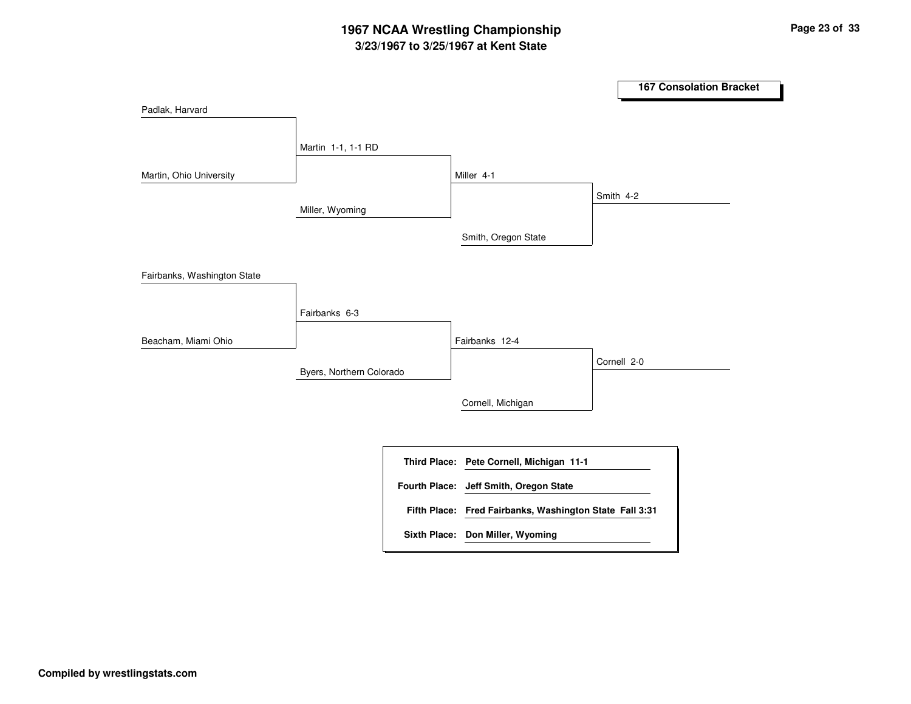# **3/23/1967 to 3/25/1967 at Kent State 1967 NCAA Wrestling Championship Page <sup>23</sup> of <sup>33</sup>**

|                             |                          |                                                         |             | <b>167 Consolation Bracket</b> |
|-----------------------------|--------------------------|---------------------------------------------------------|-------------|--------------------------------|
| Padlak, Harvard             |                          |                                                         |             |                                |
|                             | Martin 1-1, 1-1 RD       |                                                         |             |                                |
| Martin, Ohio University     |                          | Miller 4-1                                              |             |                                |
|                             | Miller, Wyoming          |                                                         | Smith 4-2   |                                |
|                             |                          | Smith, Oregon State                                     |             |                                |
| Fairbanks, Washington State |                          |                                                         |             |                                |
|                             | Fairbanks 6-3            |                                                         |             |                                |
| Beacham, Miami Ohio         |                          | Fairbanks 12-4                                          |             |                                |
|                             | Byers, Northern Colorado |                                                         | Cornell 2-0 |                                |
|                             |                          | Cornell, Michigan                                       |             |                                |
|                             |                          | Third Place: Pete Cornell, Michigan 11-1                |             |                                |
|                             |                          | Fourth Place: Jeff Smith, Oregon State                  |             |                                |
|                             |                          | Fifth Place: Fred Fairbanks, Washington State Fall 3:31 |             |                                |
|                             |                          | Sixth Place: Don Miller, Wyoming                        |             |                                |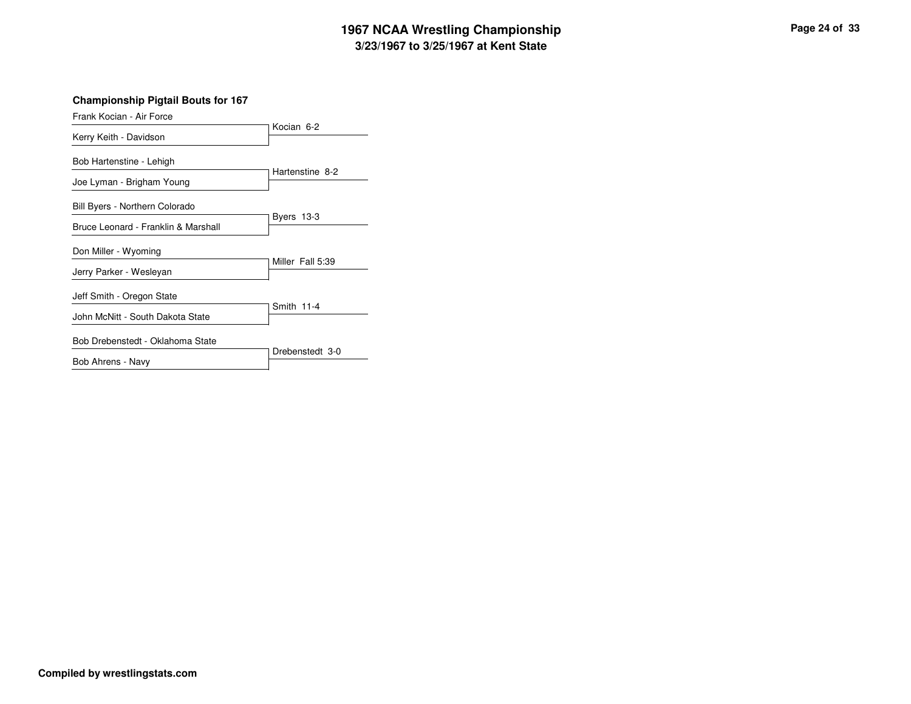#### **3/23/1967 to 3/25/1967 at Kent State 1967 NCAA Wrestling Championship Page <sup>24</sup> of <sup>33</sup>**

**Championship Pigtail Bouts for 167**

| Frank Kocian - Air Force                              |                  |
|-------------------------------------------------------|------------------|
| Kerry Keith - Davidson                                | Kocian 6-2       |
| Bob Hartenstine - Lehigh<br>Joe Lyman - Brigham Young | Hartenstine 8-2  |
| Bill Byers - Northern Colorado                        | Byers 13-3       |
| Bruce Leonard - Franklin & Marshall                   |                  |
| Don Miller - Wyoming                                  | Miller Fall 5:39 |
| Jerry Parker - Wesleyan                               |                  |
| Jeff Smith - Oregon State                             |                  |
| John McNitt - South Dakota State                      | Smith 11-4       |
| Bob Drebenstedt - Oklahoma State                      |                  |
| Bob Ahrens - Navy                                     | Drebenstedt 3-0  |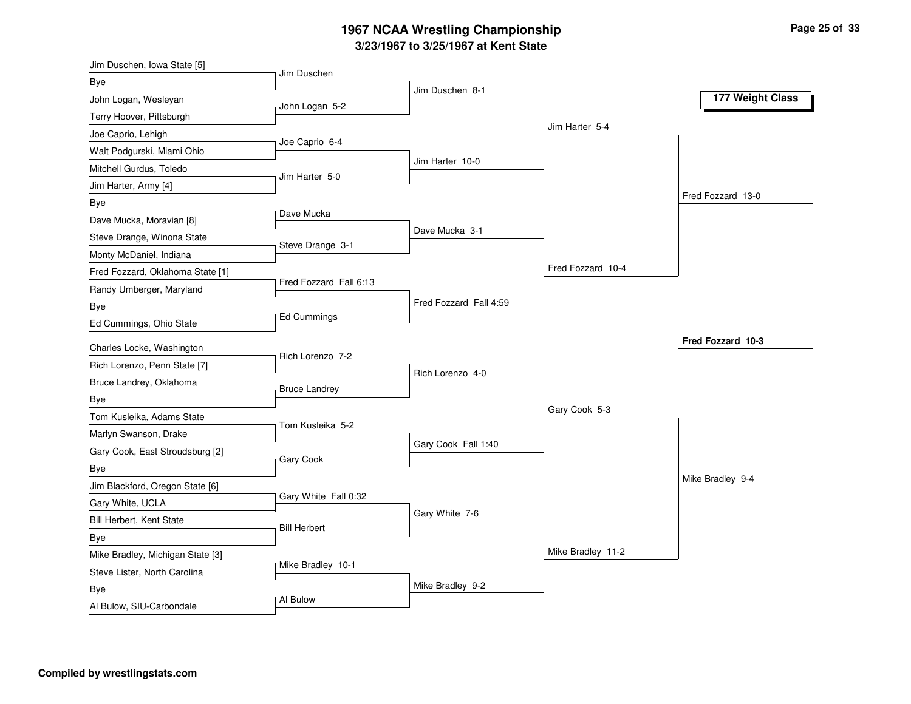#### **3/23/1967 to 3/25/1967 at Kent State 1967 NCAA Wrestling Championship Page <sup>25</sup> of <sup>33</sup>**

| Jim Duschen, Iowa State [5]            |                        |                        |                   |                   |
|----------------------------------------|------------------------|------------------------|-------------------|-------------------|
| Bye                                    | Jim Duschen            |                        |                   |                   |
| John Logan, Wesleyan                   | John Logan 5-2         | Jim Duschen 8-1        |                   | 177 Weight Class  |
| Terry Hoover, Pittsburgh               |                        |                        |                   |                   |
| Joe Caprio, Lehigh                     |                        |                        | Jim Harter 5-4    |                   |
| Walt Podgurski, Miami Ohio             | Joe Caprio 6-4         |                        |                   |                   |
| Mitchell Gurdus, Toledo                |                        | Jim Harter 10-0        |                   |                   |
| Jim Harter, Army [4]                   | Jim Harter 5-0         |                        |                   |                   |
| Bye                                    |                        |                        |                   | Fred Fozzard 13-0 |
| Dave Mucka, Moravian [8]               | Dave Mucka             |                        |                   |                   |
| Steve Drange, Winona State             |                        | Dave Mucka 3-1         |                   |                   |
| Monty McDaniel, Indiana                | Steve Drange 3-1       |                        |                   |                   |
| Fred Fozzard, Oklahoma State [1]       |                        |                        | Fred Fozzard 10-4 |                   |
| Randy Umberger, Maryland               | Fred Fozzard Fall 6:13 |                        |                   |                   |
| Bye                                    |                        | Fred Fozzard Fall 4:59 |                   |                   |
| Ed Cummings, Ohio State                | Ed Cummings            |                        |                   |                   |
| Charles Locke, Washington              |                        |                        |                   | Fred Fozzard 10-3 |
| Rich Lorenzo, Penn State [7]           | Rich Lorenzo 7-2       |                        |                   |                   |
| Bruce Landrey, Oklahoma                |                        | Rich Lorenzo 4-0       |                   |                   |
|                                        | <b>Bruce Landrey</b>   |                        |                   |                   |
| Bye<br>Tom Kusleika, Adams State       |                        |                        | Gary Cook 5-3     |                   |
| Marlyn Swanson, Drake                  | Tom Kusleika 5-2       |                        |                   |                   |
| Gary Cook, East Stroudsburg [2]        |                        | Gary Cook Fall 1:40    |                   |                   |
|                                        | Gary Cook              |                        |                   |                   |
| Bye<br>Jim Blackford, Oregon State [6] |                        |                        |                   | Mike Bradley 9-4  |
|                                        | Gary White Fall 0:32   |                        |                   |                   |
| Gary White, UCLA                       |                        | Gary White 7-6         |                   |                   |
| Bill Herbert, Kent State               | <b>Bill Herbert</b>    |                        |                   |                   |
| Bye                                    |                        |                        | Mike Bradley 11-2 |                   |
| Mike Bradley, Michigan State [3]       | Mike Bradley 10-1      |                        |                   |                   |
| Steve Lister, North Carolina           |                        | Mike Bradley 9-2       |                   |                   |
| Bye                                    | Al Bulow               |                        |                   |                   |
| Al Bulow, SIU-Carbondale               |                        |                        |                   |                   |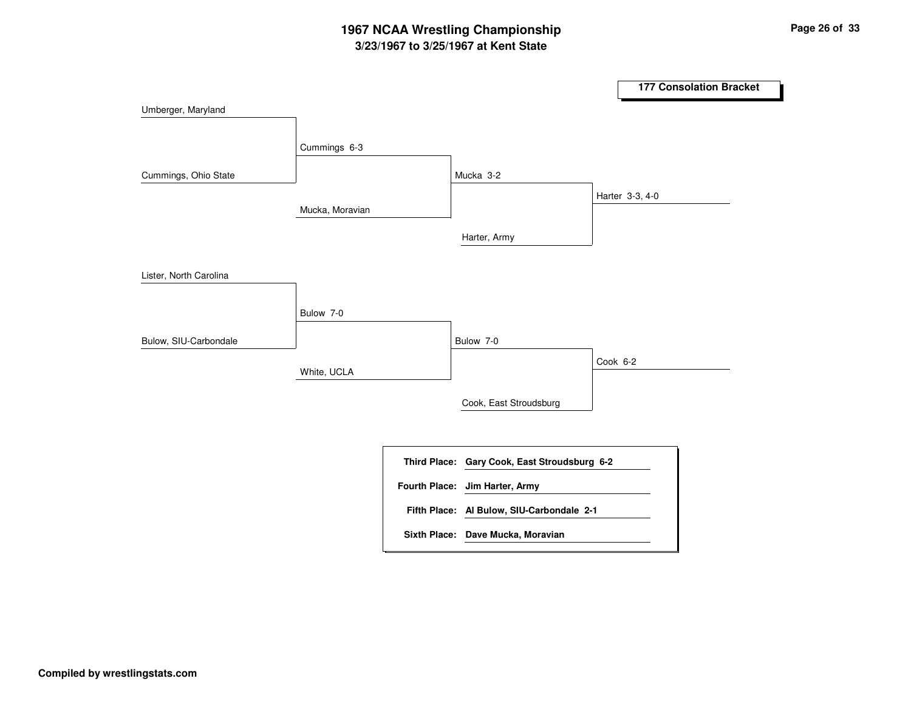# **3/23/1967 to 3/25/1967 at Kent State 1967 NCAA Wrestling Championship Page <sup>26</sup> of <sup>33</sup>**

|                        |                 |                                              |          | <b>177 Consolation Bracket</b> |  |
|------------------------|-----------------|----------------------------------------------|----------|--------------------------------|--|
| Umberger, Maryland     |                 |                                              |          |                                |  |
|                        |                 |                                              |          |                                |  |
|                        | Cummings 6-3    |                                              |          |                                |  |
| Cummings, Ohio State   |                 | Mucka 3-2                                    |          |                                |  |
|                        | Mucka, Moravian |                                              |          | Harter 3-3, 4-0                |  |
|                        |                 |                                              |          |                                |  |
|                        |                 | Harter, Army                                 |          |                                |  |
| Lister, North Carolina |                 |                                              |          |                                |  |
|                        |                 |                                              |          |                                |  |
|                        | Bulow 7-0       |                                              |          |                                |  |
| Bulow, SIU-Carbondale  |                 | Bulow 7-0                                    |          |                                |  |
|                        | White, UCLA     |                                              | Cook 6-2 |                                |  |
|                        |                 |                                              |          |                                |  |
|                        |                 | Cook, East Stroudsburg                       |          |                                |  |
|                        |                 |                                              |          |                                |  |
|                        |                 | Third Place: Gary Cook, East Stroudsburg 6-2 |          |                                |  |
|                        |                 | Fourth Place: Jim Harter, Army               |          |                                |  |
|                        |                 | Fifth Place: Al Bulow, SIU-Carbondale 2-1    |          |                                |  |
|                        |                 | Sixth Place: Dave Mucka, Moravian            |          |                                |  |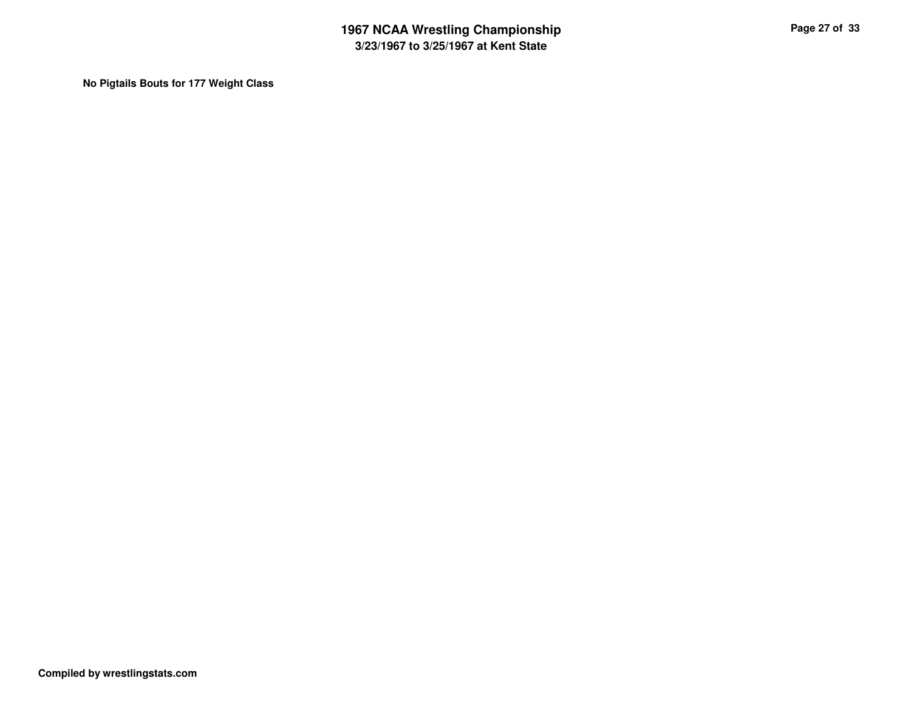**No Pigtails Bouts for 177 Weight Class**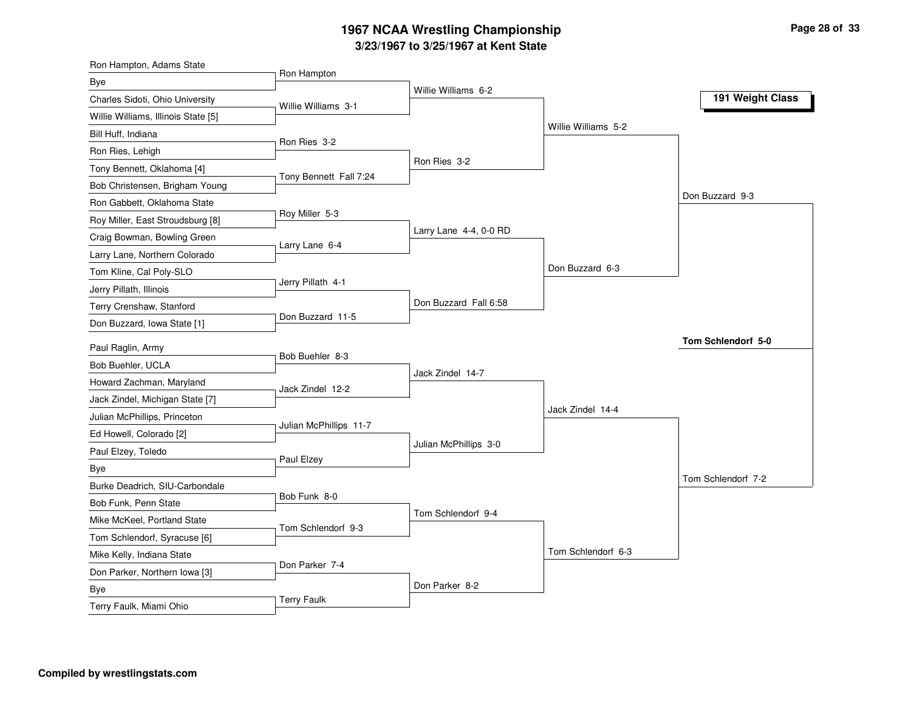#### **3/23/1967 to 3/25/1967 at Kent State 1967 NCAA Wrestling Championship Page <sup>28</sup> of <sup>33</sup>**

| Ron Hampton, Adams State            |                        |                        |                     |                    |
|-------------------------------------|------------------------|------------------------|---------------------|--------------------|
| <b>Bye</b>                          | Ron Hampton            |                        |                     |                    |
| Charles Sidoti, Ohio University     | Willie Williams 3-1    | Willie Williams 6-2    |                     | 191 Weight Class   |
| Willie Williams, Illinois State [5] |                        |                        |                     |                    |
| Bill Huff, Indiana                  |                        |                        | Willie Williams 5-2 |                    |
| Ron Ries, Lehigh                    | Ron Ries 3-2           |                        |                     |                    |
| Tony Bennett, Oklahoma [4]          |                        | Ron Ries 3-2           |                     |                    |
| Bob Christensen, Brigham Young      | Tony Bennett Fall 7:24 |                        |                     |                    |
| Ron Gabbett, Oklahoma State         |                        |                        |                     | Don Buzzard 9-3    |
| Roy Miller, East Stroudsburg [8]    | Roy Miller 5-3         |                        |                     |                    |
| Craig Bowman, Bowling Green         |                        | Larry Lane 4-4, 0-0 RD |                     |                    |
| Larry Lane, Northern Colorado       | Larry Lane 6-4         |                        |                     |                    |
| Tom Kline, Cal Poly-SLO             |                        |                        | Don Buzzard 6-3     |                    |
| Jerry Pillath, Illinois             | Jerry Pillath 4-1      |                        |                     |                    |
| Terry Crenshaw, Stanford            |                        | Don Buzzard Fall 6:58  |                     |                    |
| Don Buzzard, Iowa State [1]         | Don Buzzard 11-5       |                        |                     |                    |
| Paul Raglin, Army                   |                        |                        |                     | Tom Schlendorf 5-0 |
| Bob Buehler, UCLA                   | Bob Buehler 8-3        |                        |                     |                    |
| Howard Zachman, Maryland            |                        | Jack Zindel 14-7       |                     |                    |
| Jack Zindel, Michigan State [7]     | Jack Zindel 12-2       |                        |                     |                    |
|                                     |                        |                        | Jack Zindel 14-4    |                    |
| Julian McPhillips, Princeton        | Julian McPhillips 11-7 |                        |                     |                    |
| Ed Howell, Colorado [2]             |                        | Julian McPhillips 3-0  |                     |                    |
| Paul Elzey, Toledo                  | Paul Elzey             |                        |                     |                    |
| Bye                                 |                        |                        |                     | Tom Schlendorf 7-2 |
| Burke Deadrich, SIU-Carbondale      | Bob Funk 8-0           |                        |                     |                    |
| Bob Funk, Penn State                |                        | Tom Schlendorf 9-4     |                     |                    |
| Mike McKeel, Portland State         | Tom Schlendorf 9-3     |                        |                     |                    |
| Tom Schlendorf, Syracuse [6]        |                        |                        | Tom Schlendorf 6-3  |                    |
| Mike Kelly, Indiana State           | Don Parker 7-4         |                        |                     |                    |
| Don Parker, Northern Iowa [3]       |                        | Don Parker 8-2         |                     |                    |
| <b>Bye</b>                          | <b>Terry Faulk</b>     |                        |                     |                    |
| Terry Faulk, Miami Ohio             |                        |                        |                     |                    |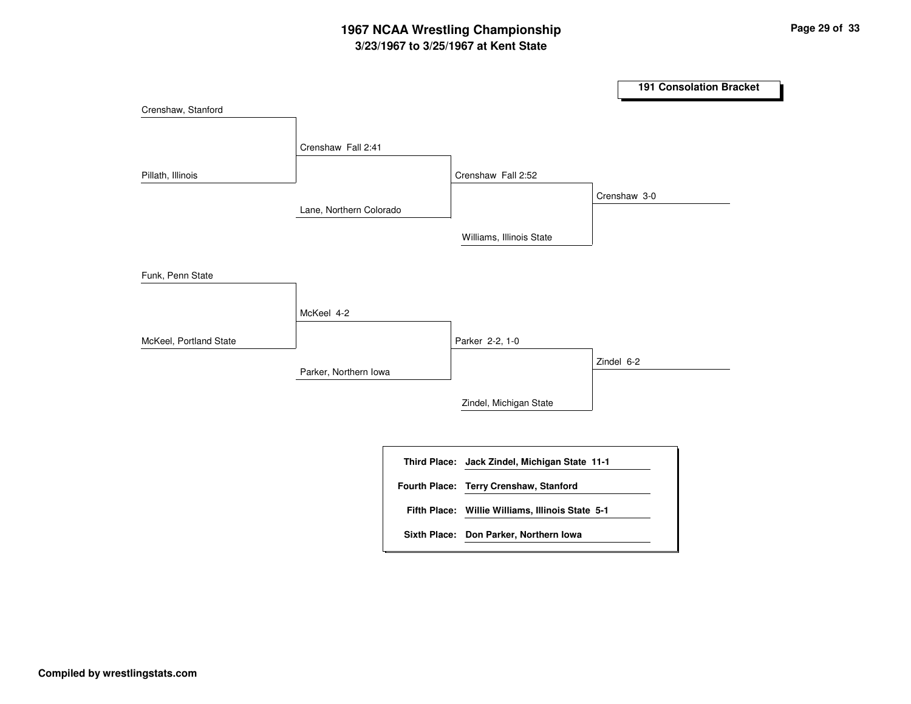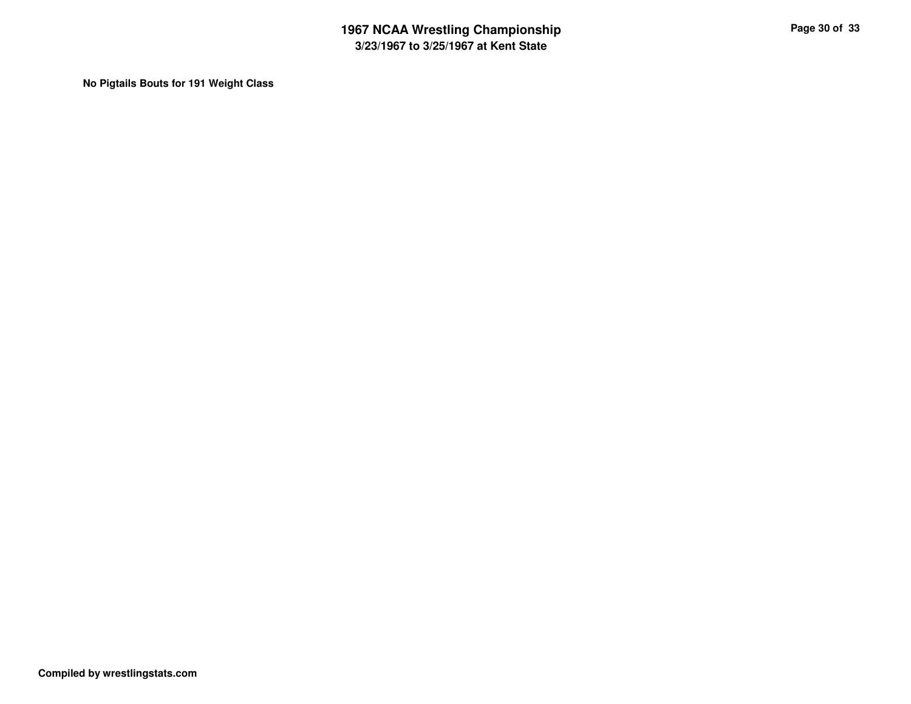**No Pigtails Bouts for 191 Weight Class**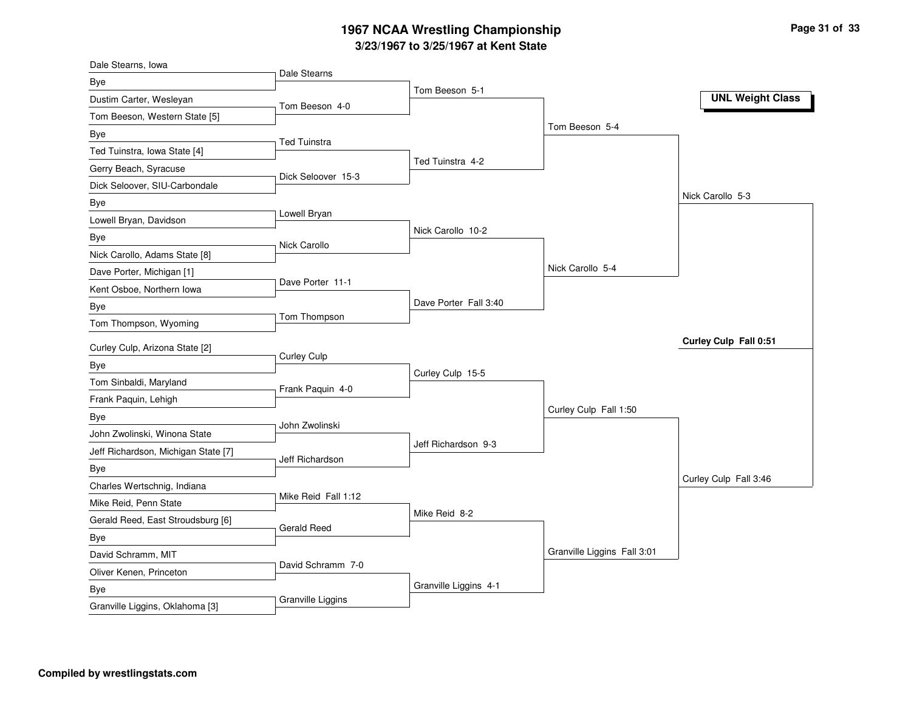## **3/23/1967 to 3/25/1967 at Kent State 1967 NCAA Wrestling Championship Page <sup>31</sup> of <sup>33</sup>**

| Dale Stearns, Iowa                  |                     |                       |                             |                         |
|-------------------------------------|---------------------|-----------------------|-----------------------------|-------------------------|
| Bye                                 | Dale Stearns        |                       |                             |                         |
| Dustim Carter, Wesleyan             | Tom Beeson 4-0      | Tom Beeson 5-1        |                             | <b>UNL Weight Class</b> |
| Tom Beeson, Western State [5]       |                     |                       |                             |                         |
| Bye                                 |                     |                       | Tom Beeson 5-4              |                         |
| Ted Tuinstra, Iowa State [4]        | <b>Ted Tuinstra</b> |                       |                             |                         |
| Gerry Beach, Syracuse               |                     | Ted Tuinstra 4-2      |                             |                         |
| Dick Seloover, SIU-Carbondale       | Dick Seloover 15-3  |                       |                             |                         |
| Bye                                 |                     |                       |                             | Nick Carollo 5-3        |
| Lowell Bryan, Davidson              | Lowell Bryan        |                       |                             |                         |
| Bye                                 |                     | Nick Carollo 10-2     |                             |                         |
| Nick Carollo, Adams State [8]       | Nick Carollo        |                       |                             |                         |
| Dave Porter, Michigan [1]           |                     |                       | Nick Carollo 5-4            |                         |
| Kent Osboe, Northern Iowa           | Dave Porter 11-1    |                       |                             |                         |
| Bye                                 |                     | Dave Porter Fall 3:40 |                             |                         |
| Tom Thompson, Wyoming               | Tom Thompson        |                       |                             |                         |
| Curley Culp, Arizona State [2]      |                     |                       |                             | Curley Culp Fall 0:51   |
| Bye                                 | <b>Curley Culp</b>  |                       |                             |                         |
| Tom Sinbaldi, Maryland              |                     | Curley Culp 15-5      |                             |                         |
| Frank Paquin, Lehigh                | Frank Paquin 4-0    |                       |                             |                         |
| Bye                                 |                     |                       | Curley Culp Fall 1:50       |                         |
| John Zwolinski, Winona State        | John Zwolinski      |                       |                             |                         |
| Jeff Richardson, Michigan State [7] |                     | Jeff Richardson 9-3   |                             |                         |
| Bye                                 | Jeff Richardson     |                       |                             |                         |
| Charles Wertschnig, Indiana         |                     |                       |                             | Curley Culp Fall 3:46   |
| Mike Reid, Penn State               | Mike Reid Fall 1:12 |                       |                             |                         |
| Gerald Reed, East Stroudsburg [6]   |                     | Mike Reid 8-2         |                             |                         |
| Bye                                 | Gerald Reed         |                       |                             |                         |
| David Schramm, MIT                  |                     |                       | Granville Liggins Fall 3:01 |                         |
| Oliver Kenen, Princeton             | David Schramm 7-0   |                       |                             |                         |
| Bye                                 |                     | Granville Liggins 4-1 |                             |                         |
| Granville Liggins, Oklahoma [3]     | Granville Liggins   |                       |                             |                         |
|                                     |                     |                       |                             |                         |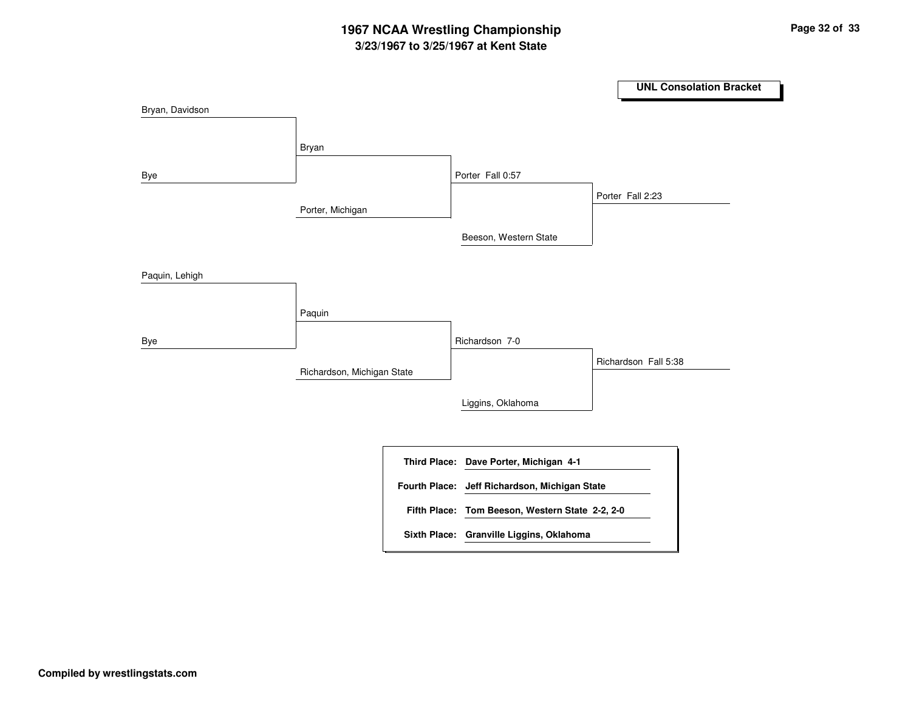# **3/23/1967 to 3/25/1967 at Kent State 1967 NCAA Wrestling Championship Page <sup>32</sup> of <sup>33</sup>**